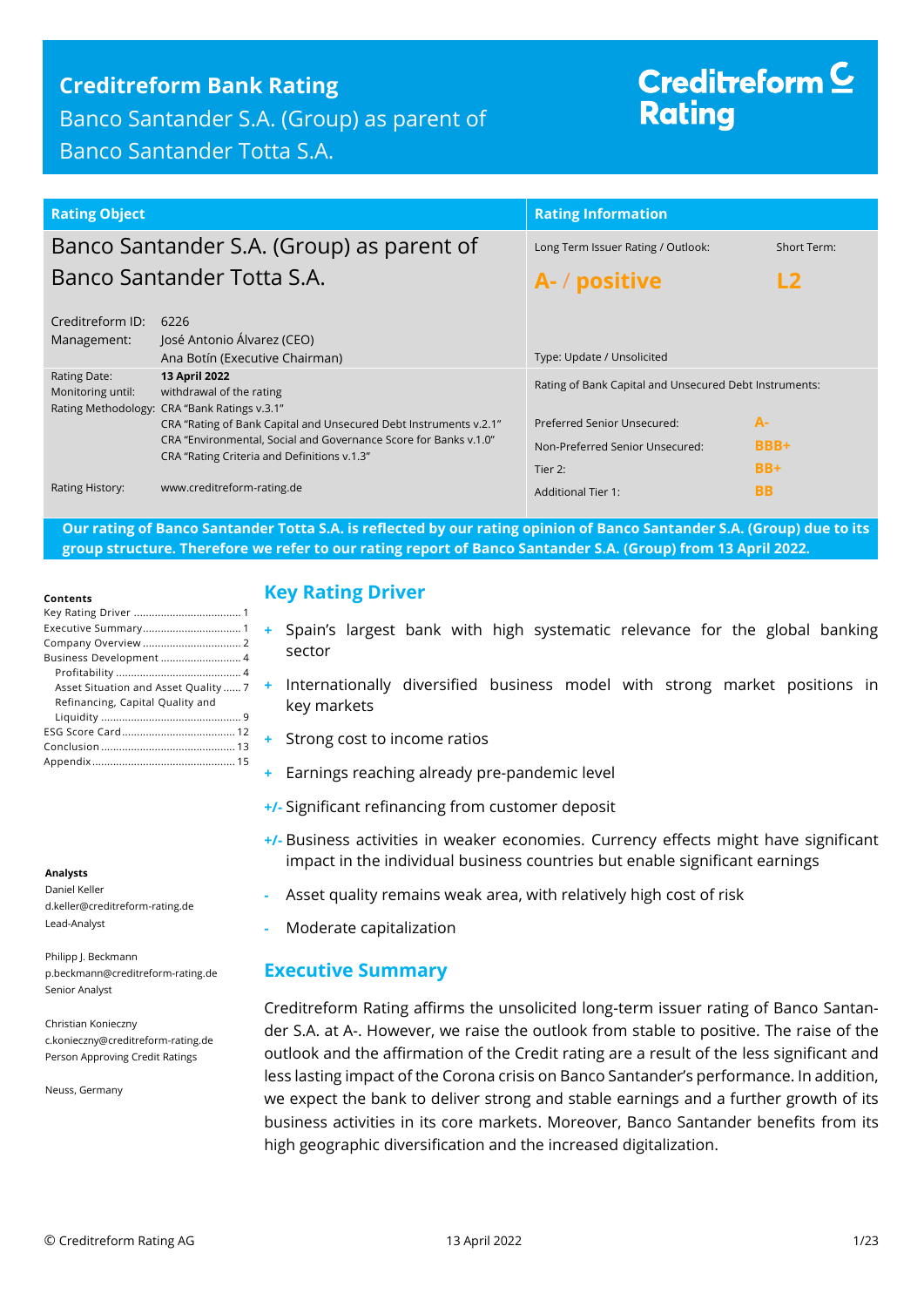## **Creditreform Bank Rating**

Banco Santander S.A. (Group) as parent of Banco Santander Totta S.A.

# Creditreform  $\subseteq$ **Rating**

| <b>Rating Object</b>                                                                                                                                                                 |                                                                                           | <b>Rating Information</b>                                      |                     |
|--------------------------------------------------------------------------------------------------------------------------------------------------------------------------------------|-------------------------------------------------------------------------------------------|----------------------------------------------------------------|---------------------|
|                                                                                                                                                                                      | Banco Santander S.A. (Group) as parent of                                                 | Long Term Issuer Rating / Outlook:                             | Short Term:         |
|                                                                                                                                                                                      | Banco Santander Totta S.A.                                                                | A- / positive                                                  |                     |
| Creditreform ID:<br>Management:                                                                                                                                                      | 6226<br>José Antonio Álvarez (CEO)<br>Ana Botín (Executive Chairman)                      | Type: Update / Unsolicited                                     |                     |
| Rating Date:<br>Monitoring until:                                                                                                                                                    | 13 April 2022<br>withdrawal of the rating<br>Rating Methodology: CRA "Bank Ratings v.3.1" | Rating of Bank Capital and Unsecured Debt Instruments:         |                     |
| CRA "Rating of Bank Capital and Unsecured Debt Instruments v.2.1"<br>CRA "Environmental, Social and Governance Score for Banks v.1.0"<br>CRA "Rating Criteria and Definitions v.1.3" |                                                                                           | Preferred Senior Unsecured:<br>Non-Preferred Senior Unsecured: | $A-$<br><b>BBB+</b> |
|                                                                                                                                                                                      | Tier 2:                                                                                   | $BB+$                                                          |                     |
| Rating History:                                                                                                                                                                      | www.creditreform-rating.de                                                                | <b>Additional Tier 1:</b>                                      | <b>BB</b>           |

**Our rating of Banco Santander Totta S.A. is reflected by our rating opinion of Banco Santander S.A. (Group) due to its group structure. Therefore we refer to our rating report of Banco Santander S.A. (Group) from 13 April 2022.**

#### **Contents**

| Business Development 4               |
|--------------------------------------|
|                                      |
| Asset Situation and Asset Quality  7 |
| Refinancing, Capital Quality and     |
|                                      |
|                                      |
|                                      |
|                                      |

#### **Analysts**

Daniel Keller d.keller@creditreform-rating.de Lead-Analyst

Philipp J. Beckmann p.beckmann@creditreform-rating.de Senior Analyst

Christian Konieczny c.konieczny@creditreform-rating.de Person Approving Credit Ratings

Neuss, Germany

## <span id="page-0-0"></span>**Key Rating Driver**

- **+** Spain's largest bank with high systematic relevance for the global banking sector
- **+** Internationally diversified business model with strong market positions in key markets
- **+** Strong cost to income ratios
- **+** Earnings reaching already pre-pandemic level
- **+/-** Significant refinancing from customer deposit
- **+/-** Business activities in weaker economies. Currency effects might have significant impact in the individual business countries but enable significant earnings
- **-** Asset quality remains weak area, with relatively high cost of risk
- **-** Moderate capitalization

### <span id="page-0-1"></span>**Executive Summary**

Creditreform Rating affirms the unsolicited long-term issuer rating of Banco Santander S.A. at A-. However, we raise the outlook from stable to positive. The raise of the outlook and the affirmation of the Credit rating are a result of the less significant and less lasting impact of the Corona crisis on Banco Santander's performance. In addition, we expect the bank to deliver strong and stable earnings and a further growth of its business activities in its core markets. Moreover, Banco Santander benefits from its high geographic diversification and the increased digitalization.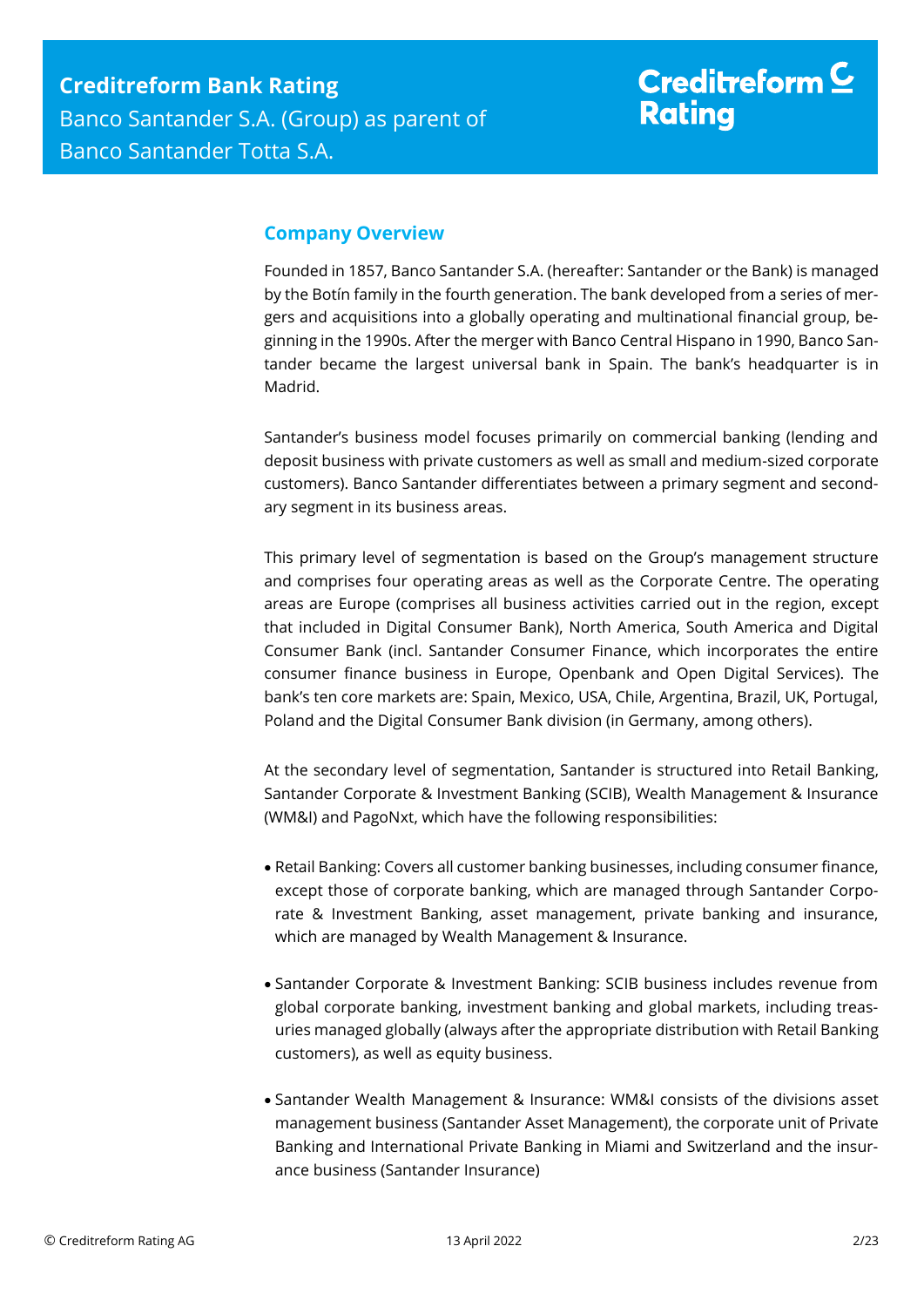# Creditreform  $\underline{\mathsf{C}}$ **Rating**

## <span id="page-1-0"></span>**Company Overview**

Founded in 1857, Banco Santander S.A. (hereafter: Santander or the Bank) is managed by the Botín family in the fourth generation. The bank developed from a series of mergers and acquisitions into a globally operating and multinational financial group, beginning in the 1990s. After the merger with Banco Central Hispano in 1990, Banco Santander became the largest universal bank in Spain. The bank's headquarter is in Madrid.

Santander's business model focuses primarily on commercial banking (lending and deposit business with private customers as well as small and medium-sized corporate customers). Banco Santander differentiates between a primary segment and secondary segment in its business areas.

This primary level of segmentation is based on the Group's management structure and comprises four operating areas as well as the Corporate Centre. The operating areas are Europe (comprises all business activities carried out in the region, except that included in Digital Consumer Bank), North America, South America and Digital Consumer Bank (incl. Santander Consumer Finance, which incorporates the entire consumer finance business in Europe, Openbank and Open Digital Services). The bank's ten core markets are: Spain, Mexico, USA, Chile, Argentina, Brazil, UK, Portugal, Poland and the Digital Consumer Bank division (in Germany, among others).

At the secondary level of segmentation, Santander is structured into Retail Banking, Santander Corporate & Investment Banking (SCIB), Wealth Management & Insurance (WM&I) and PagoNxt, which have the following responsibilities:

- Retail Banking: Covers all customer banking businesses, including consumer finance, except those of corporate banking, which are managed through Santander Corporate & Investment Banking, asset management, private banking and insurance, which are managed by Wealth Management & Insurance.
- Santander Corporate & Investment Banking: SCIB business includes revenue from global corporate banking, investment banking and global markets, including treasuries managed globally (always after the appropriate distribution with Retail Banking customers), as well as equity business.
- Santander Wealth Management & Insurance: WM&I consists of the divisions asset management business (Santander Asset Management), the corporate unit of Private Banking and International Private Banking in Miami and Switzerland and the insurance business (Santander Insurance)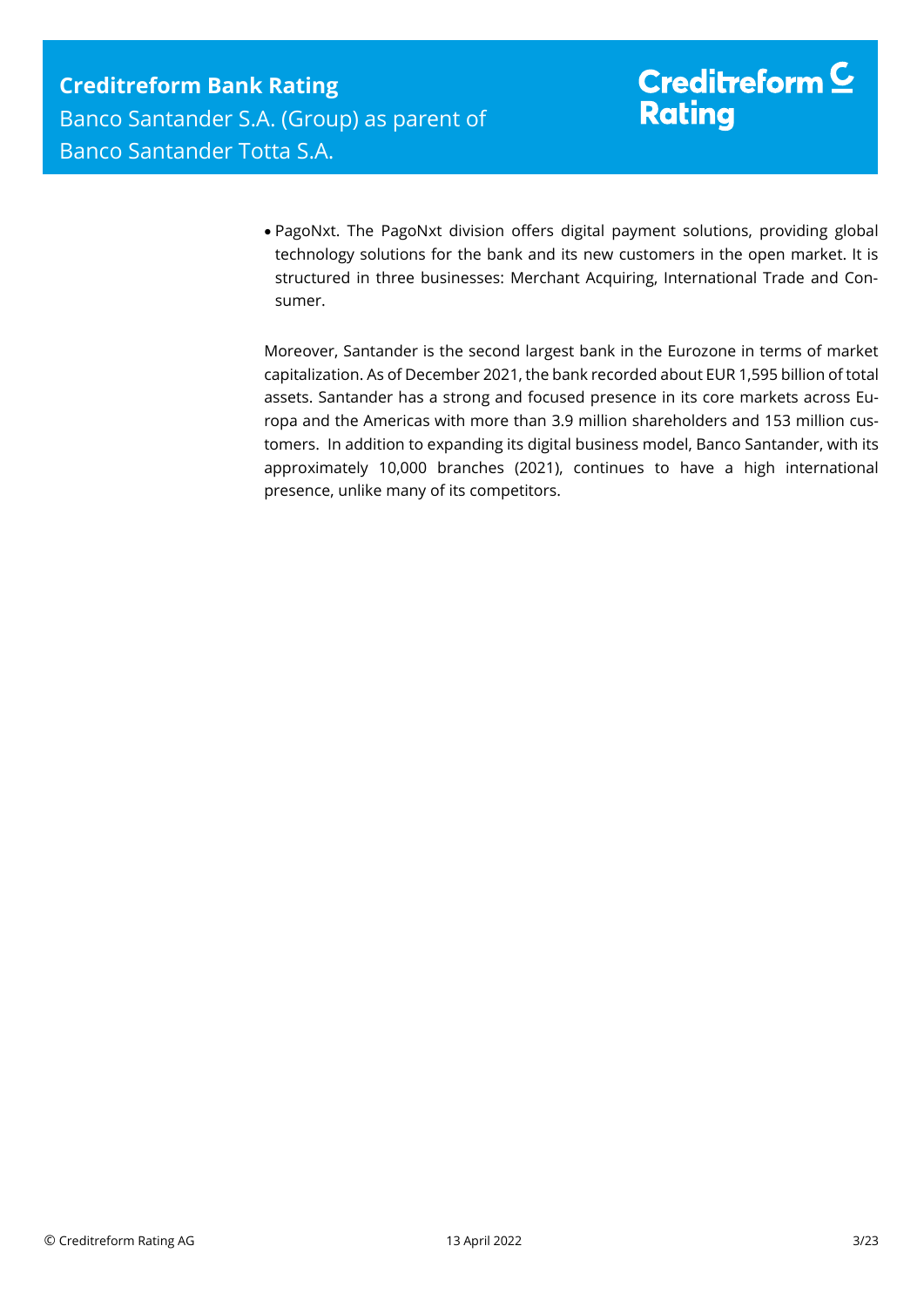PagoNxt. The PagoNxt division offers digital payment solutions, providing global technology solutions for the bank and its new customers in the open market. It is structured in three businesses: Merchant Acquiring, International Trade and Consumer.

Moreover, Santander is the second largest bank in the Eurozone in terms of market capitalization. As of December 2021, the bank recorded about EUR 1,595 billion of total assets. Santander has a strong and focused presence in its core markets across Europa and the Americas with more than 3.9 million shareholders and 153 million customers. In addition to expanding its digital business model, Banco Santander, with its approximately 10,000 branches (2021), continues to have a high international presence, unlike many of its competitors.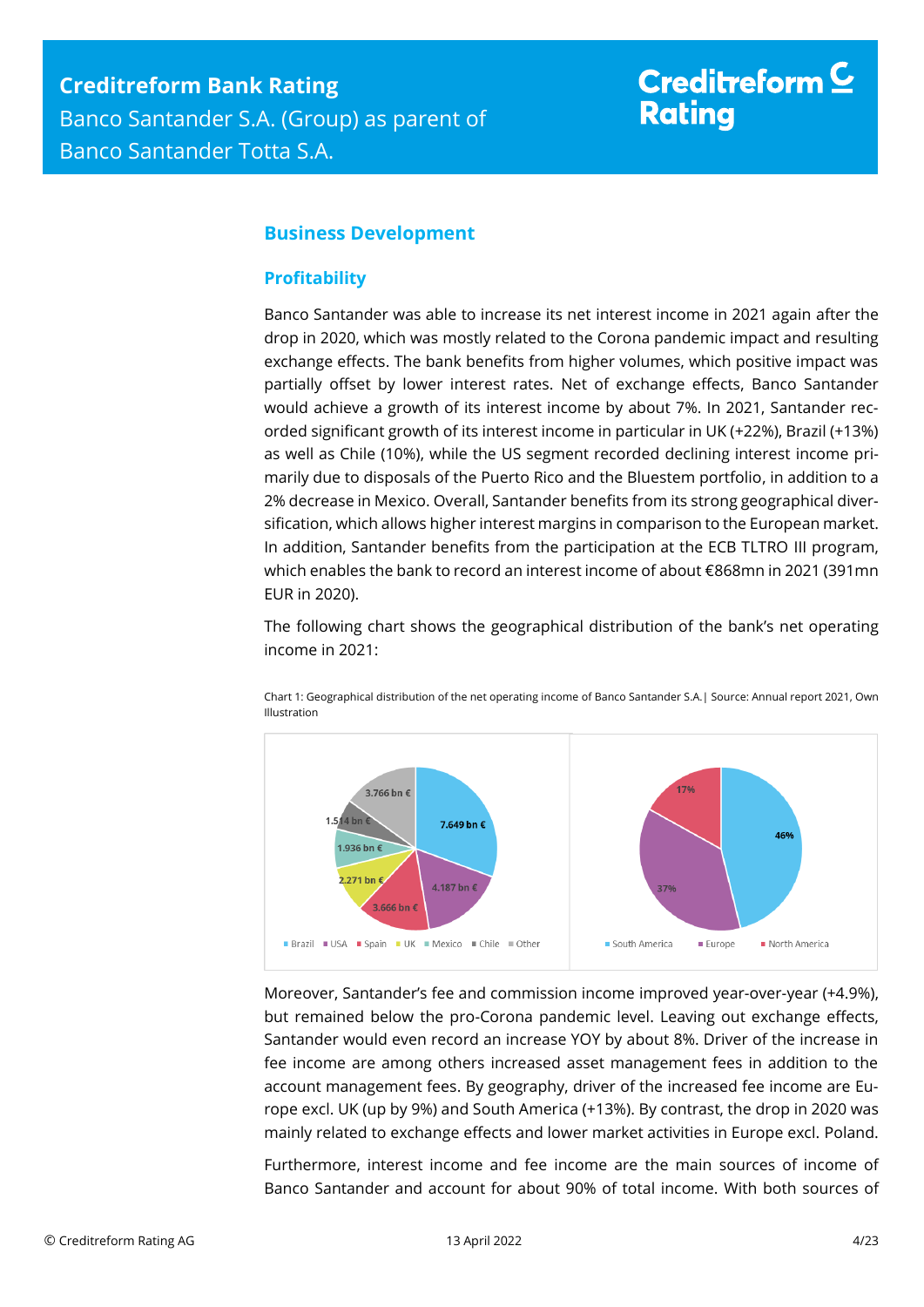## Creditreform  $\subseteq$ **Rating**

## <span id="page-3-0"></span>**Business Development**

### <span id="page-3-1"></span>**Profitability**

Banco Santander was able to increase its net interest income in 2021 again after the drop in 2020, which was mostly related to the Corona pandemic impact and resulting exchange effects. The bank benefits from higher volumes, which positive impact was partially offset by lower interest rates. Net of exchange effects, Banco Santander would achieve a growth of its interest income by about 7%. In 2021, Santander recorded significant growth of its interest income in particular in UK (+22%), Brazil (+13%) as well as Chile (10%), while the US segment recorded declining interest income primarily due to disposals of the Puerto Rico and the Bluestem portfolio, in addition to a 2% decrease in Mexico. Overall, Santander benefits from its strong geographical diversification, which allows higher interest margins in comparison to the European market. In addition, Santander benefits from the participation at the ECB TLTRO III program, which enables the bank to record an interest income of about €868mn in 2021 (391mn EUR in 2020).

The following chart shows the geographical distribution of the bank's net operating income in 2021:



Chart 1: Geographical distribution of the net operating income of Banco Santander S.A.| Source: Annual report 2021, Own Illustration

Moreover, Santander's fee and commission income improved year-over-year (+4.9%), but remained below the pro-Corona pandemic level. Leaving out exchange effects, Santander would even record an increase YOY by about 8%. Driver of the increase in fee income are among others increased asset management fees in addition to the account management fees. By geography, driver of the increased fee income are Europe excl. UK (up by 9%) and South America (+13%). By contrast, the drop in 2020 was mainly related to exchange effects and lower market activities in Europe excl. Poland.

Furthermore, interest income and fee income are the main sources of income of Banco Santander and account for about 90% of total income. With both sources of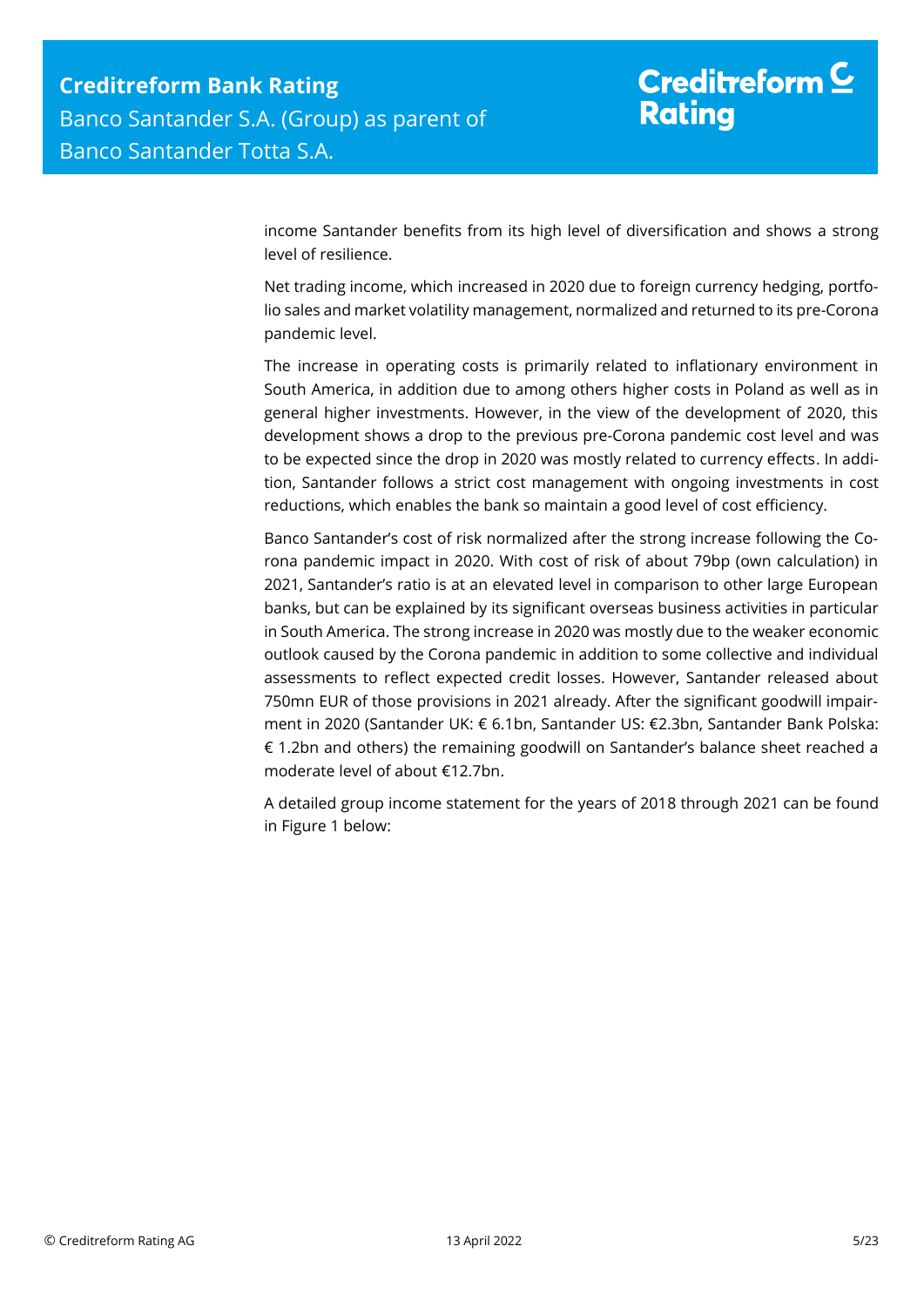# Creditreform  $\underline{\mathsf{C}}$ **Rating**

income Santander benefits from its high level of diversification and shows a strong level of resilience.

Net trading income, which increased in 2020 due to foreign currency hedging, portfolio sales and market volatility management, normalized and returned to its pre-Corona pandemic level.

The increase in operating costs is primarily related to inflationary environment in South America, in addition due to among others higher costs in Poland as well as in general higher investments. However, in the view of the development of 2020, this development shows a drop to the previous pre-Corona pandemic cost level and was to be expected since the drop in 2020 was mostly related to currency effects. In addition, Santander follows a strict cost management with ongoing investments in cost reductions, which enables the bank so maintain a good level of cost efficiency.

Banco Santander's cost of risk normalized after the strong increase following the Corona pandemic impact in 2020. With cost of risk of about 79bp (own calculation) in 2021, Santander's ratio is at an elevated level in comparison to other large European banks, but can be explained by its significant overseas business activities in particular in South America. The strong increase in 2020 was mostly due to the weaker economic outlook caused by the Corona pandemic in addition to some collective and individual assessments to reflect expected credit losses. However, Santander released about 750mn EUR of those provisions in 2021 already. After the significant goodwill impairment in 2020 (Santander UK: € 6.1bn, Santander US: €2.3bn, Santander Bank Polska: € 1.2bn and others) the remaining goodwill on Santander's balance sheet reached a moderate level of about €12.7bn.

A detailed group income statement for the years of 2018 through 2021 can be found in Figure 1 below: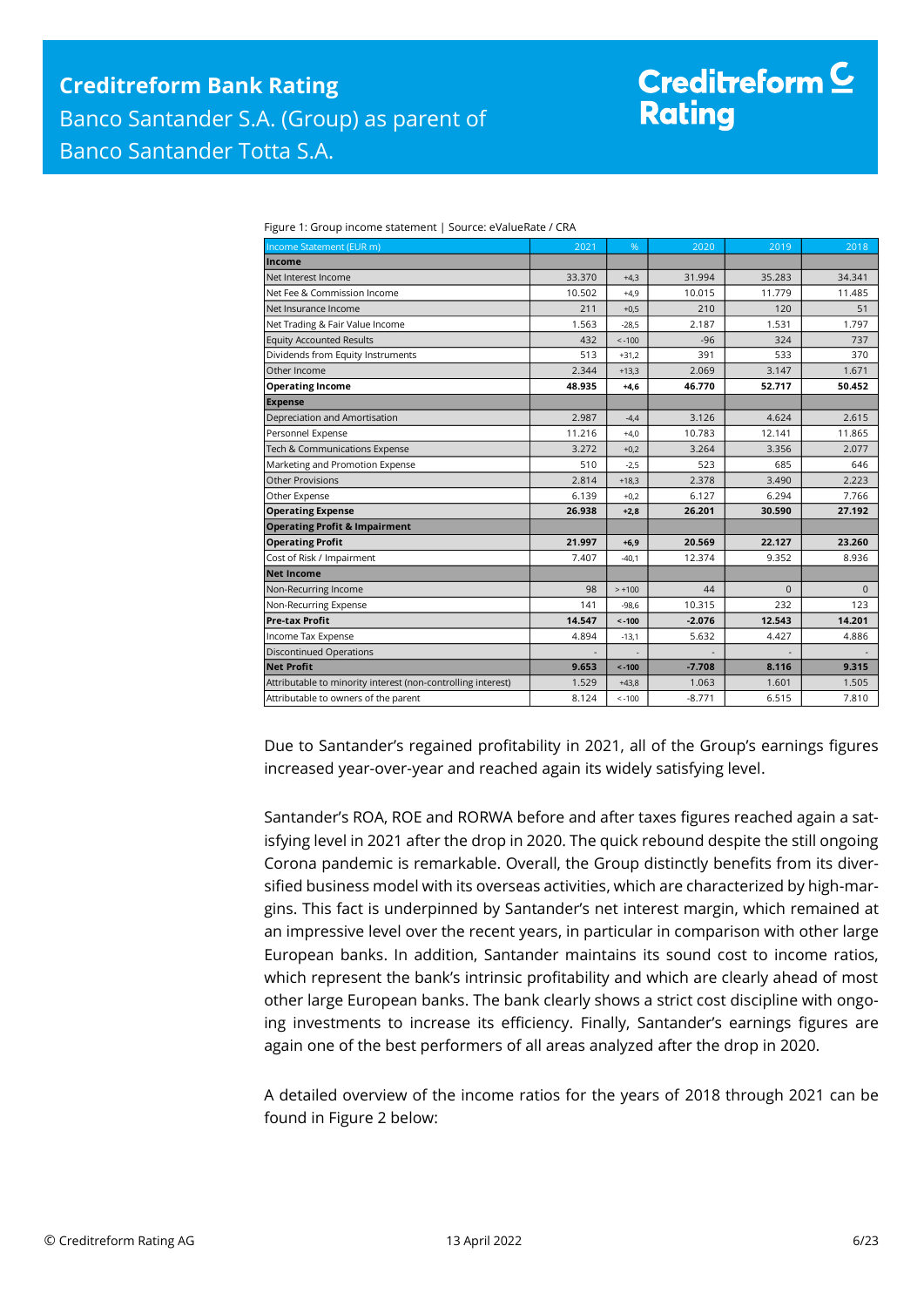# Creditreform  $\mathsf{\underline{C}}$ **Rating**

| <b>Income Statement (EUR m)</b>                              | 2021   | %        | 2020     | 2019     | 2018         |
|--------------------------------------------------------------|--------|----------|----------|----------|--------------|
| Income                                                       |        |          |          |          |              |
| Net Interest Income                                          | 33.370 | $+4.3$   | 31.994   | 35.283   | 34.341       |
| Net Fee & Commission Income                                  | 10.502 | $+4,9$   | 10.015   | 11.779   | 11.485       |
| Net Insurance Income                                         | 211    | $+0.5$   | 210      | 120      | 51           |
| Net Trading & Fair Value Income                              | 1.563  | $-28.5$  | 2.187    | 1.531    | 1.797        |
| <b>Equity Accounted Results</b>                              | 432    | $< -100$ | $-96$    | 324      | 737          |
| Dividends from Equity Instruments                            | 513    | $+31,2$  | 391      | 533      | 370          |
| Other Income                                                 | 2.344  | $+13,3$  | 2.069    | 3.147    | 1.671        |
| <b>Operating Income</b>                                      | 48.935 | $+4,6$   | 46.770   | 52.717   | 50.452       |
| <b>Expense</b>                                               |        |          |          |          |              |
| Depreciation and Amortisation                                | 2.987  | $-4,4$   | 3.126    | 4.624    | 2.615        |
| Personnel Expense                                            | 11.216 | $+4.0$   | 10.783   | 12.141   | 11.865       |
| Tech & Communications Expense                                | 3.272  | $+0,2$   | 3.264    | 3.356    | 2.077        |
| Marketing and Promotion Expense                              | 510    | $-2,5$   | 523      | 685      | 646          |
| <b>Other Provisions</b>                                      | 2.814  | $+18,3$  | 2.378    | 3.490    | 2.223        |
| Other Expense                                                | 6.139  | $+0,2$   | 6.127    | 6.294    | 7.766        |
| <b>Operating Expense</b>                                     | 26.938 | $+2,8$   | 26.201   | 30.590   | 27.192       |
| <b>Operating Profit &amp; Impairment</b>                     |        |          |          |          |              |
| <b>Operating Profit</b>                                      | 21.997 | $+6,9$   | 20.569   | 22.127   | 23.260       |
| Cost of Risk / Impairment                                    | 7.407  | $-40.1$  | 12.374   | 9.352    | 8.936        |
| <b>Net Income</b>                                            |        |          |          |          |              |
| Non-Recurring Income                                         | 98     | $> +100$ | 44       | $\Omega$ | $\mathbf{0}$ |
| Non-Recurring Expense                                        | 141    | $-98,6$  | 10.315   | 232      | 123          |
| <b>Pre-tax Profit</b>                                        | 14.547 | $< -100$ | $-2.076$ | 12.543   | 14.201       |
| Income Tax Expense                                           | 4.894  | $-13,1$  | 5.632    | 4.427    | 4.886        |
| <b>Discontinued Operations</b>                               |        |          |          |          |              |
| <b>Net Profit</b>                                            | 9.653  | $< -100$ | $-7.708$ | 8.116    | 9.315        |
| Attributable to minority interest (non-controlling interest) | 1.529  | $+43,8$  | 1.063    | 1.601    | 1.505        |
| Attributable to owners of the parent                         | 8.124  | $< -100$ | $-8.771$ | 6.515    | 7.810        |

Figure 1: Group income statement | Source: eValueRate / CRA

Due to Santander's regained profitability in 2021, all of the Group's earnings figures increased year-over-year and reached again its widely satisfying level.

Santander's ROA, ROE and RORWA before and after taxes figures reached again a satisfying level in 2021 after the drop in 2020. The quick rebound despite the still ongoing Corona pandemic is remarkable. Overall, the Group distinctly benefits from its diversified business model with its overseas activities, which are characterized by high-margins. This fact is underpinned by Santander's net interest margin, which remained at an impressive level over the recent years, in particular in comparison with other large European banks. In addition, Santander maintains its sound cost to income ratios, which represent the bank's intrinsic profitability and which are clearly ahead of most other large European banks. The bank clearly shows a strict cost discipline with ongoing investments to increase its efficiency. Finally, Santander's earnings figures are again one of the best performers of all areas analyzed after the drop in 2020.

A detailed overview of the income ratios for the years of 2018 through 2021 can be found in Figure 2 below: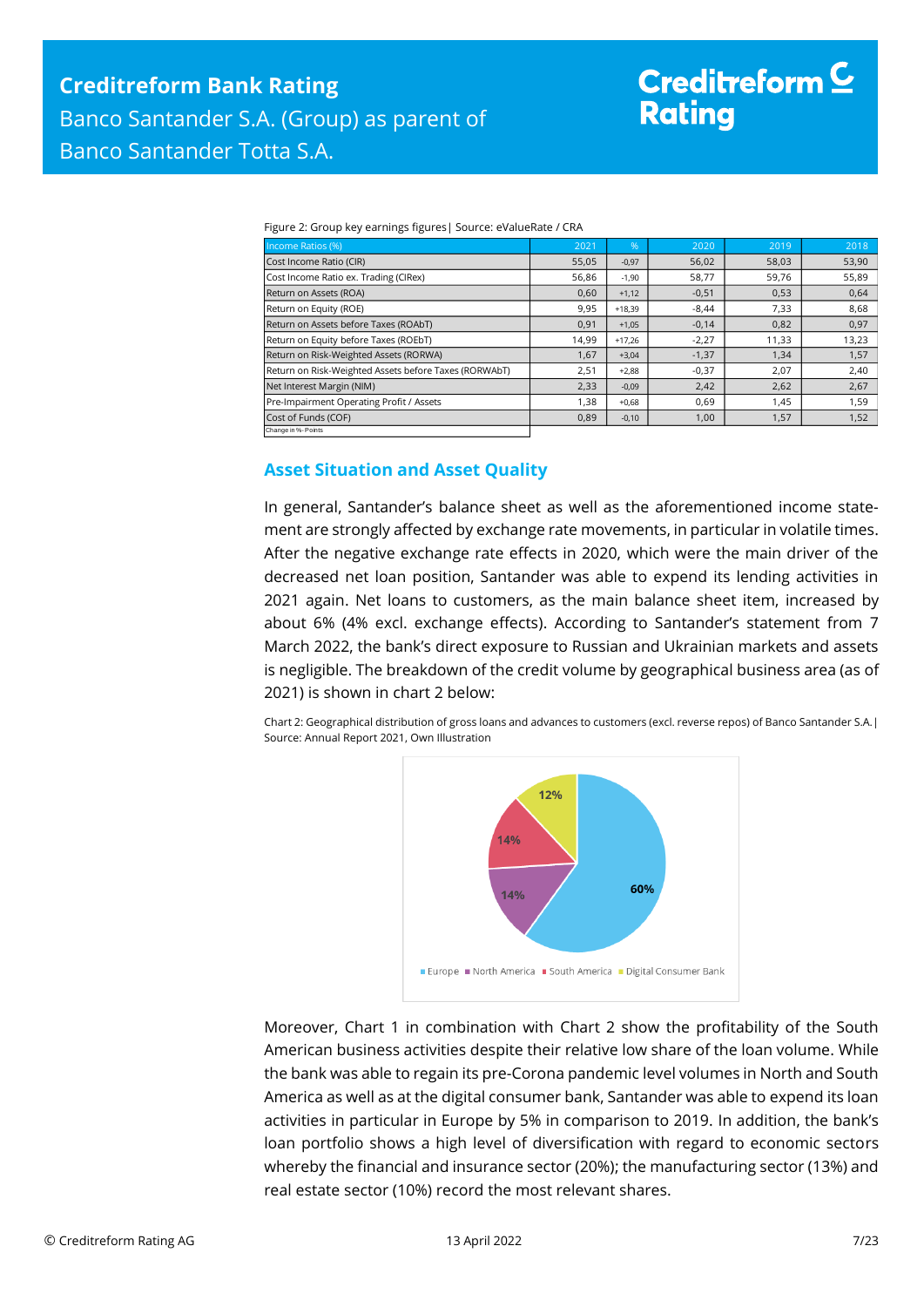# Creditreform  $\subseteq$ **Rating**

|  | Figure 2: Group key earnings figures   Source: eValueRate / CRA |  |  |
|--|-----------------------------------------------------------------|--|--|
|--|-----------------------------------------------------------------|--|--|

| Income Ratios (%)                                     | 2021  | $\frac{96}{3}$ | 2020    | 2019  | 2018  |
|-------------------------------------------------------|-------|----------------|---------|-------|-------|
| Cost Income Ratio (CIR)                               | 55,05 | $-0,97$        | 56,02   | 58,03 | 53,90 |
| Cost Income Ratio ex. Trading (CIRex)                 | 56,86 | $-1,90$        | 58,77   | 59,76 | 55,89 |
| Return on Assets (ROA)                                | 0,60  | $+1,12$        | $-0,51$ | 0,53  | 0,64  |
| Return on Equity (ROE)                                | 9,95  | $+18,39$       | $-8,44$ | 7,33  | 8,68  |
| Return on Assets before Taxes (ROAbT)                 | 0,91  | $+1,05$        | $-0,14$ | 0,82  | 0,97  |
| Return on Equity before Taxes (ROEbT)                 | 14,99 | $+17.26$       | $-2,27$ | 11,33 | 13,23 |
| Return on Risk-Weighted Assets (RORWA)                | 1,67  | $+3,04$        | $-1,37$ | 1,34  | 1,57  |
| Return on Risk-Weighted Assets before Taxes (RORWAbT) | 2,51  | $+2,88$        | $-0,37$ | 2,07  | 2,40  |
| Net Interest Margin (NIM)                             | 2,33  | $-0,09$        | 2,42    | 2,62  | 2,67  |
| Pre-Impairment Operating Profit / Assets              | 1,38  | $+0,68$        | 0,69    | 1,45  | 1,59  |
| Cost of Funds (COF)                                   | 0,89  | $-0,10$        | 1,00    | 1,57  | 1,52  |
| Change in %- Points                                   |       |                |         |       |       |

### <span id="page-6-0"></span>**Asset Situation and Asset Quality**

In general, Santander's balance sheet as well as the aforementioned income statement are strongly affected by exchange rate movements, in particular in volatile times. After the negative exchange rate effects in 2020, which were the main driver of the decreased net loan position, Santander was able to expend its lending activities in 2021 again. Net loans to customers, as the main balance sheet item, increased by about 6% (4% excl. exchange effects). According to Santander's statement from 7 March 2022, the bank's direct exposure to Russian and Ukrainian markets and assets is negligible. The breakdown of the credit volume by geographical business area (as of 2021) is shown in chart 2 below:

Chart 2: Geographical distribution of gross loans and advances to customers (excl. reverse repos) of Banco Santander S.A.| Source: Annual Report 2021, Own Illustration



Moreover, Chart 1 in combination with Chart 2 show the profitability of the South American business activities despite their relative low share of the loan volume. While the bank was able to regain its pre-Corona pandemic level volumes in North and South America as well as at the digital consumer bank, Santander was able to expend its loan activities in particular in Europe by 5% in comparison to 2019. In addition, the bank's loan portfolio shows a high level of diversification with regard to economic sectors whereby the financial and insurance sector (20%); the manufacturing sector (13%) and real estate sector (10%) record the most relevant shares.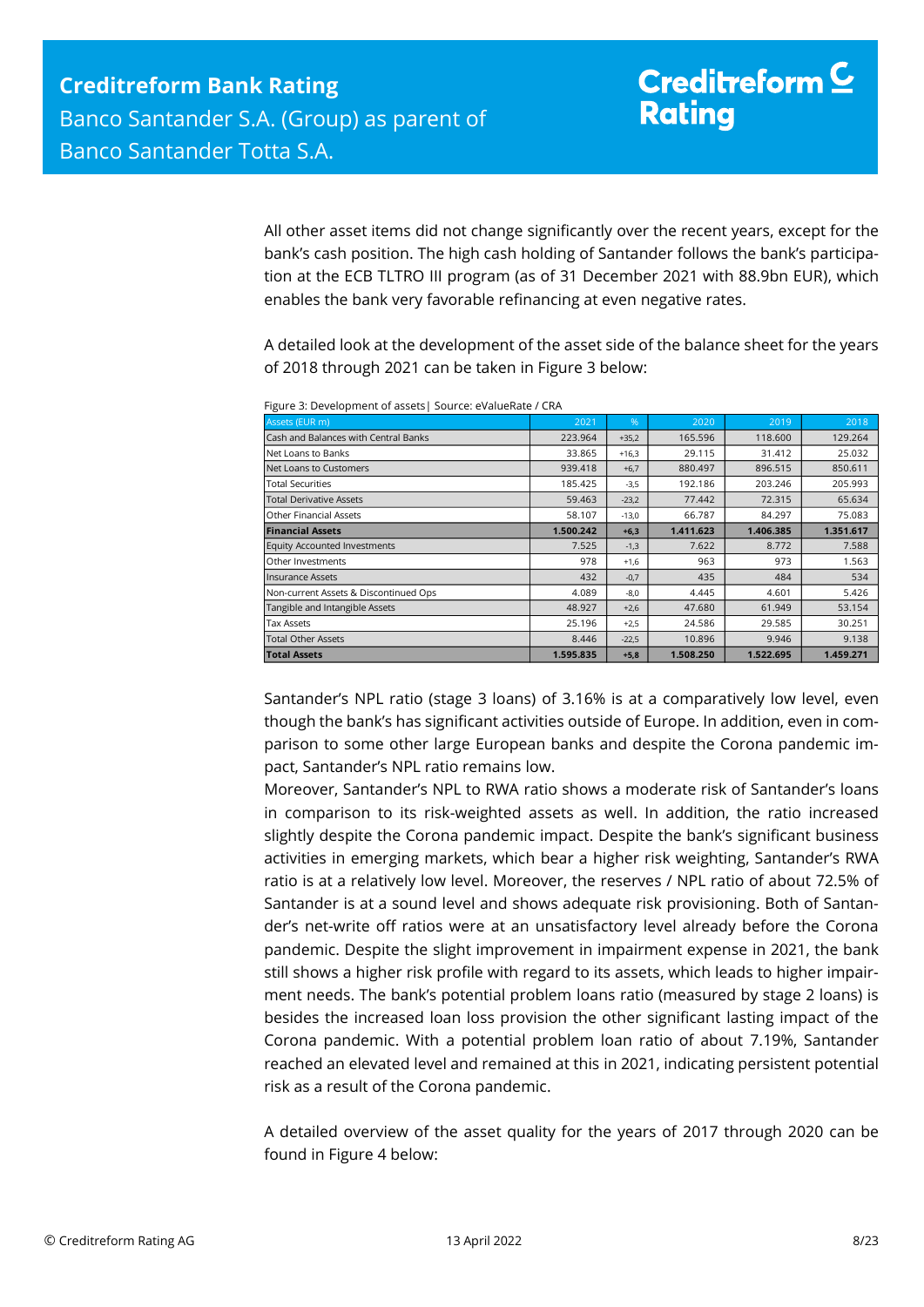All other asset items did not change significantly over the recent years, except for the bank's cash position. The high cash holding of Santander follows the bank's participation at the ECB TLTRO III program (as of 31 December 2021 with 88.9bn EUR), which enables the bank very favorable refinancing at even negative rates.

A detailed look at the development of the asset side of the balance sheet for the years of 2018 through 2021 can be taken in Figure 3 below:

| Assets (EUR m)                        | 2021      | %       | 2020      | 2019      | 2018      |
|---------------------------------------|-----------|---------|-----------|-----------|-----------|
| Cash and Balances with Central Banks  | 223.964   | $+35,2$ | 165.596   | 118.600   | 129.264   |
| Net Loans to Banks                    | 33.865    | $+16.3$ | 29.115    | 31.412    | 25.032    |
| Net Loans to Customers                | 939.418   | $+6,7$  | 880.497   | 896.515   | 850.611   |
| <b>Total Securities</b>               | 185.425   | $-3,5$  | 192.186   | 203.246   | 205.993   |
| <b>Total Derivative Assets</b>        | 59.463    | $-23,2$ | 77.442    | 72.315    | 65.634    |
| <b>Other Financial Assets</b>         | 58.107    | $-13,0$ | 66.787    | 84.297    | 75.083    |
| <b>Financial Assets</b>               | 1.500.242 | $+6,3$  | 1.411.623 | 1.406.385 | 1.351.617 |
| <b>Equity Accounted Investments</b>   | 7.525     | $-1,3$  | 7.622     | 8.772     | 7.588     |
| Other Investments                     | 978       | $+1,6$  | 963       | 973       | 1.563     |
|                                       |           |         |           |           |           |
| <b>Insurance Assets</b>               | 432       | $-0,7$  | 435       | 484       | 534       |
| Non-current Assets & Discontinued Ops | 4.089     | $-8,0$  | 4.445     | 4.601     | 5.426     |
| Tangible and Intangible Assets        | 48.927    | $+2,6$  | 47.680    | 61.949    | 53.154    |
| <b>Tax Assets</b>                     | 25.196    | $+2,5$  | 24.586    | 29.585    | 30.251    |
| <b>Total Other Assets</b>             | 8.446     | $-22,5$ | 10.896    | 9.946     | 9.138     |

Figure 3: Development of assets| Source: eValueRate / CRA

Santander's NPL ratio (stage 3 loans) of 3.16% is at a comparatively low level, even though the bank's has significant activities outside of Europe. In addition, even in comparison to some other large European banks and despite the Corona pandemic impact, Santander's NPL ratio remains low.

Moreover, Santander's NPL to RWA ratio shows a moderate risk of Santander's loans in comparison to its risk-weighted assets as well. In addition, the ratio increased slightly despite the Corona pandemic impact. Despite the bank's significant business activities in emerging markets, which bear a higher risk weighting, Santander's RWA ratio is at a relatively low level. Moreover, the reserves / NPL ratio of about 72.5% of Santander is at a sound level and shows adequate risk provisioning. Both of Santander's net-write off ratios were at an unsatisfactory level already before the Corona pandemic. Despite the slight improvement in impairment expense in 2021, the bank still shows a higher risk profile with regard to its assets, which leads to higher impairment needs. The bank's potential problem loans ratio (measured by stage 2 loans) is besides the increased loan loss provision the other significant lasting impact of the Corona pandemic. With a potential problem loan ratio of about 7.19%, Santander reached an elevated level and remained at this in 2021, indicating persistent potential risk as a result of the Corona pandemic.

A detailed overview of the asset quality for the years of 2017 through 2020 can be found in Figure 4 below: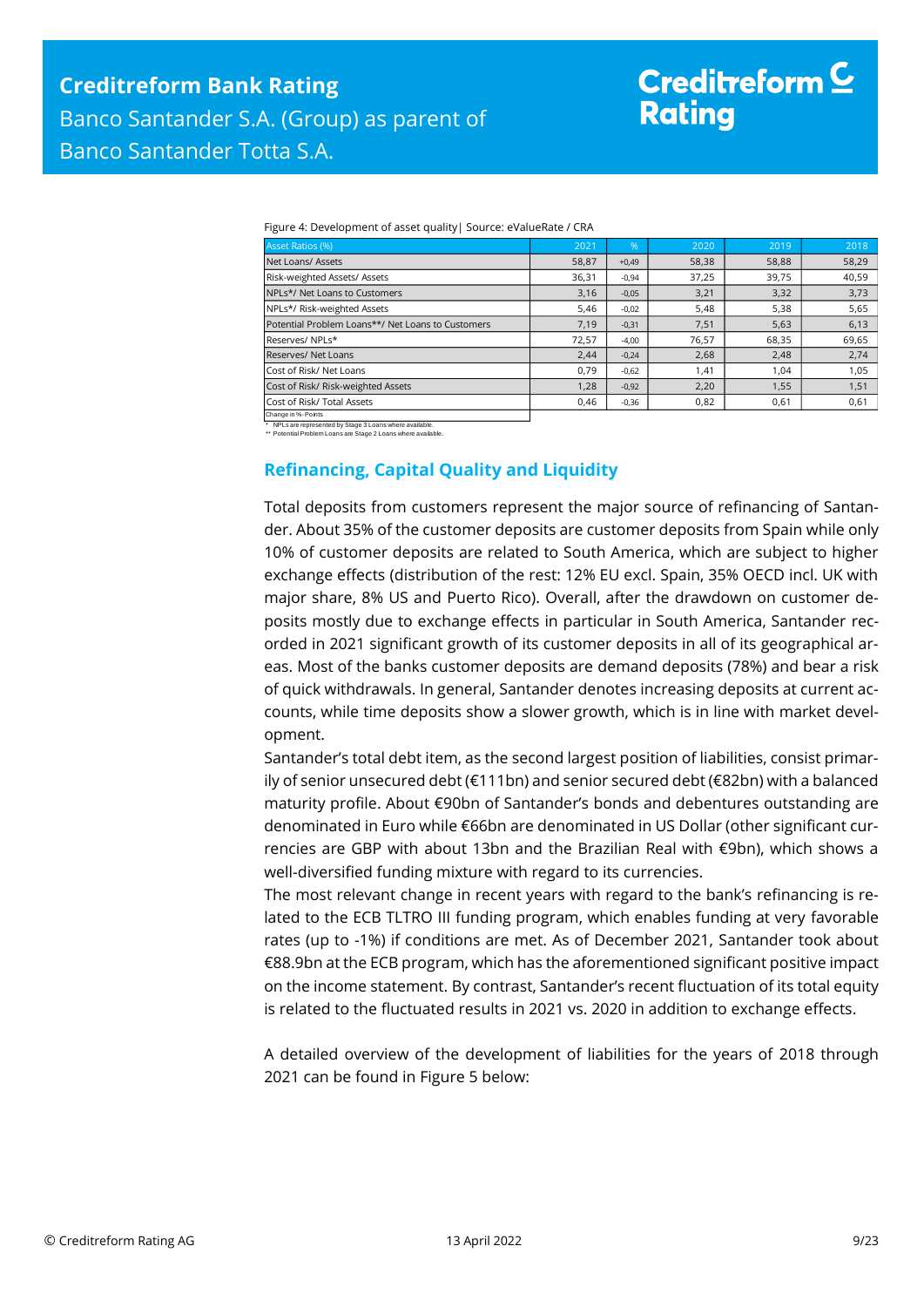# Creditreform  $\mathsf{\underline{C}}$ **Rating**

| Figure 4: Development of asset quality   Source: eValueRate / CRA |  |  |  |
|-------------------------------------------------------------------|--|--|--|
|-------------------------------------------------------------------|--|--|--|

| <b>Asset Ratios (%)</b>                           | 2021  | $\%$    | 2020  | 2019  | 2018  |
|---------------------------------------------------|-------|---------|-------|-------|-------|
| Net Loans/ Assets                                 | 58,87 | $+0.49$ | 58,38 | 58,88 | 58,29 |
| Risk-weighted Assets/ Assets                      | 36,31 | $-0.94$ | 37,25 | 39,75 | 40,59 |
| NPLs*/ Net Loans to Customers                     | 3,16  | $-0,05$ | 3,21  | 3,32  | 3,73  |
| NPLs*/ Risk-weighted Assets                       | 5,46  | $-0,02$ | 5,48  | 5,38  | 5,65  |
| Potential Problem Loans**/ Net Loans to Customers | 7,19  | $-0,31$ | 7,51  | 5,63  | 6,13  |
| Reserves/NPLs*                                    | 72,57 | $-4,00$ | 76,57 | 68,35 | 69,65 |
| Reserves/ Net Loans                               | 2,44  | $-0,24$ | 2,68  | 2,48  | 2,74  |
| Cost of Risk/ Net Loans                           | 0.79  | $-0.62$ | 1,41  | 1.04  | 1,05  |
| Cost of Risk/ Risk-weighted Assets                | 1,28  | $-0,92$ | 2,20  | 1,55  | 1,51  |
| Cost of Risk/ Total Assets                        | 0,46  | $-0,36$ | 0,82  | 0,61  | 0,61  |
| Change in %- Points                               |       |         |       |       |       |

<span id="page-8-0"></span>\* NPLs are represented by Stage 3 Loans where available. \*\* Potential Problem Loans are Stage 2 Loans where available.

### **Refinancing, Capital Quality and Liquidity**

Total deposits from customers represent the major source of refinancing of Santander. About 35% of the customer deposits are customer deposits from Spain while only 10% of customer deposits are related to South America, which are subject to higher exchange effects (distribution of the rest: 12% EU excl. Spain, 35% OECD incl. UK with major share, 8% US and Puerto Rico). Overall, after the drawdown on customer deposits mostly due to exchange effects in particular in South America, Santander recorded in 2021 significant growth of its customer deposits in all of its geographical areas. Most of the banks customer deposits are demand deposits (78%) and bear a risk of quick withdrawals. In general, Santander denotes increasing deposits at current accounts, while time deposits show a slower growth, which is in line with market development.

Santander's total debt item, as the second largest position of liabilities, consist primarily of senior unsecured debt (€111bn) and senior secured debt (€82bn) with a balanced maturity profile. About €90bn of Santander's bonds and debentures outstanding are denominated in Euro while €66bn are denominated in US Dollar (other significant currencies are GBP with about 13bn and the Brazilian Real with €9bn), which shows a well-diversified funding mixture with regard to its currencies.

The most relevant change in recent years with regard to the bank's refinancing is related to the ECB TLTRO III funding program, which enables funding at very favorable rates (up to -1%) if conditions are met. As of December 2021, Santander took about €88.9bn at the ECB program, which has the aforementioned significant positive impact on the income statement. By contrast, Santander's recent fluctuation of its total equity is related to the fluctuated results in 2021 vs. 2020 in addition to exchange effects.

A detailed overview of the development of liabilities for the years of 2018 through 2021 can be found in Figure 5 below: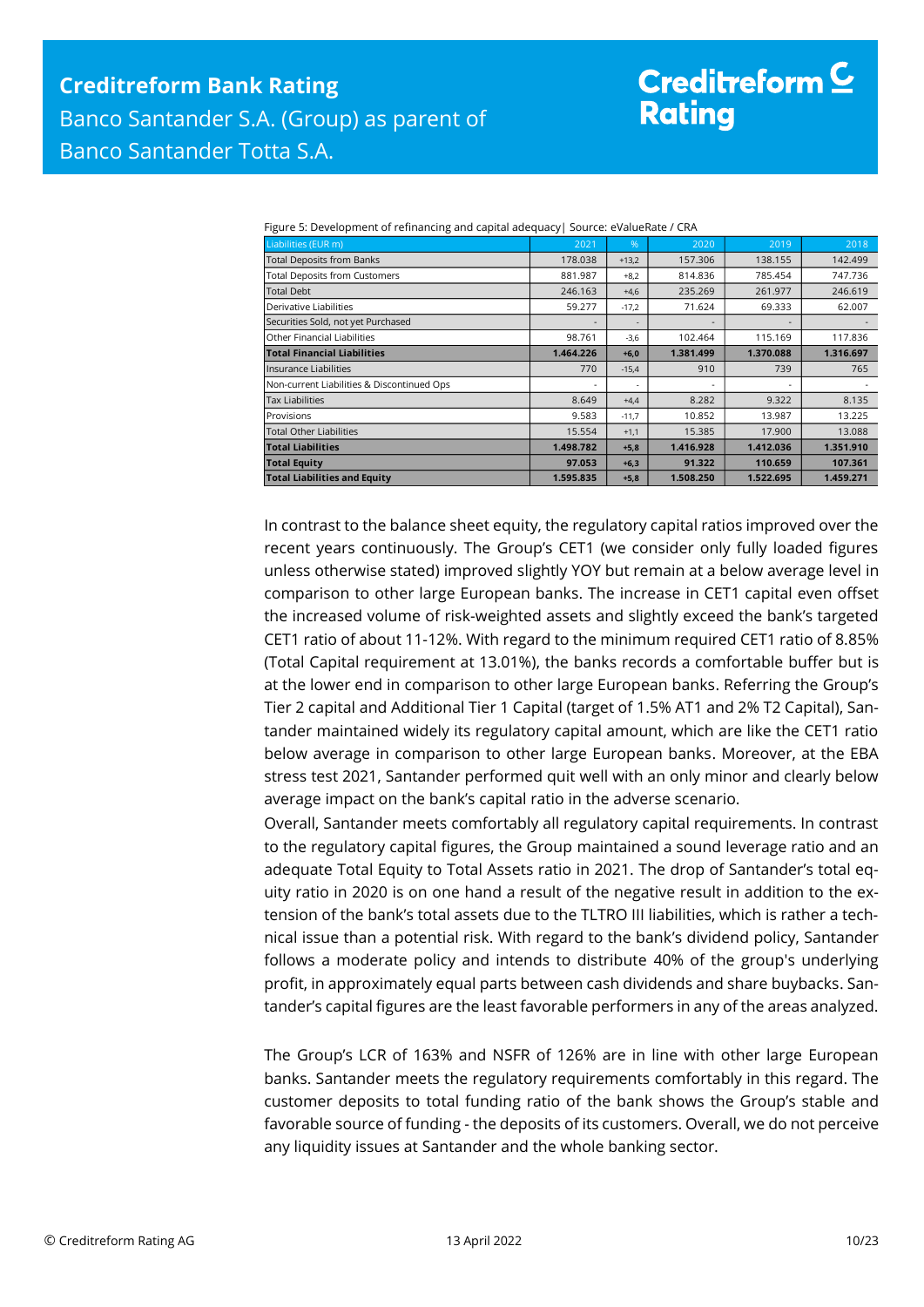# Creditreform  $\mathsf{\underline{C}}$ **Rating**

|  |  |  | Figure 5: Development of refinancing and capital adequacy  Source: eValueRate / CRA |
|--|--|--|-------------------------------------------------------------------------------------|
|--|--|--|-------------------------------------------------------------------------------------|

| Liabilities (EUR m)                        | 2021      | %       | 2020      | 2019      | 2018      |
|--------------------------------------------|-----------|---------|-----------|-----------|-----------|
| <b>Total Deposits from Banks</b>           | 178.038   | $+13,2$ | 157.306   | 138.155   | 142.499   |
| <b>Total Deposits from Customers</b>       | 881.987   | $+8.2$  | 814.836   | 785.454   | 747.736   |
| <b>Total Debt</b>                          | 246.163   | $+4,6$  | 235.269   | 261.977   | 246.619   |
| Derivative Liabilities                     | 59.277    | $-17,2$ | 71.624    | 69.333    | 62.007    |
| Securities Sold, not yet Purchased         |           |         |           |           |           |
| Other Financial Liabilities                | 98.761    | $-3,6$  | 102.464   | 115.169   | 117.836   |
| <b>Total Financial Liabilities</b>         | 1.464.226 | $+6,0$  | 1.381.499 | 1.370.088 | 1.316.697 |
| Insurance Liabilities                      | 770       | $-15,4$ | 910       | 739       | 765       |
| Non-current Liabilities & Discontinued Ops |           | ٠       |           |           |           |
| <b>Tax Liabilities</b>                     | 8.649     | $+4,4$  | 8.282     | 9.322     | 8.135     |
| Provisions                                 | 9.583     | $-11,7$ | 10.852    | 13.987    | 13.225    |
| <b>Total Other Liabilities</b>             | 15.554    | $+1,1$  | 15.385    | 17.900    | 13.088    |
| <b>Total Liabilities</b>                   | 1.498.782 | $+5,8$  | 1.416.928 | 1.412.036 | 1.351.910 |
| <b>Total Equity</b>                        | 97.053    | $+6,3$  | 91.322    | 110.659   | 107.361   |
| <b>Total Liabilities and Equity</b>        | 1.595.835 | $+5,8$  | 1.508.250 | 1.522.695 | 1.459.271 |

In contrast to the balance sheet equity, the regulatory capital ratios improved over the recent years continuously. The Group's CET1 (we consider only fully loaded figures unless otherwise stated) improved slightly YOY but remain at a below average level in comparison to other large European banks. The increase in CET1 capital even offset the increased volume of risk-weighted assets and slightly exceed the bank's targeted CET1 ratio of about 11-12%. With regard to the minimum required CET1 ratio of 8.85% (Total Capital requirement at 13.01%), the banks records a comfortable buffer but is at the lower end in comparison to other large European banks. Referring the Group's Tier 2 capital and Additional Tier 1 Capital (target of 1.5% AT1 and 2% T2 Capital), Santander maintained widely its regulatory capital amount, which are like the CET1 ratio below average in comparison to other large European banks. Moreover, at the EBA stress test 2021, Santander performed quit well with an only minor and clearly below average impact on the bank's capital ratio in the adverse scenario.

Overall, Santander meets comfortably all regulatory capital requirements. In contrast to the regulatory capital figures, the Group maintained a sound leverage ratio and an adequate Total Equity to Total Assets ratio in 2021. The drop of Santander's total equity ratio in 2020 is on one hand a result of the negative result in addition to the extension of the bank's total assets due to the TLTRO III liabilities, which is rather a technical issue than a potential risk. With regard to the bank's dividend policy, Santander follows a moderate policy and intends to distribute 40% of the group's underlying profit, in approximately equal parts between cash dividends and share buybacks. Santander's capital figures are the least favorable performers in any of the areas analyzed.

The Group's LCR of 163% and NSFR of 126% are in line with other large European banks. Santander meets the regulatory requirements comfortably in this regard. The customer deposits to total funding ratio of the bank shows the Group's stable and favorable source of funding - the deposits of its customers. Overall, we do not perceive any liquidity issues at Santander and the whole banking sector.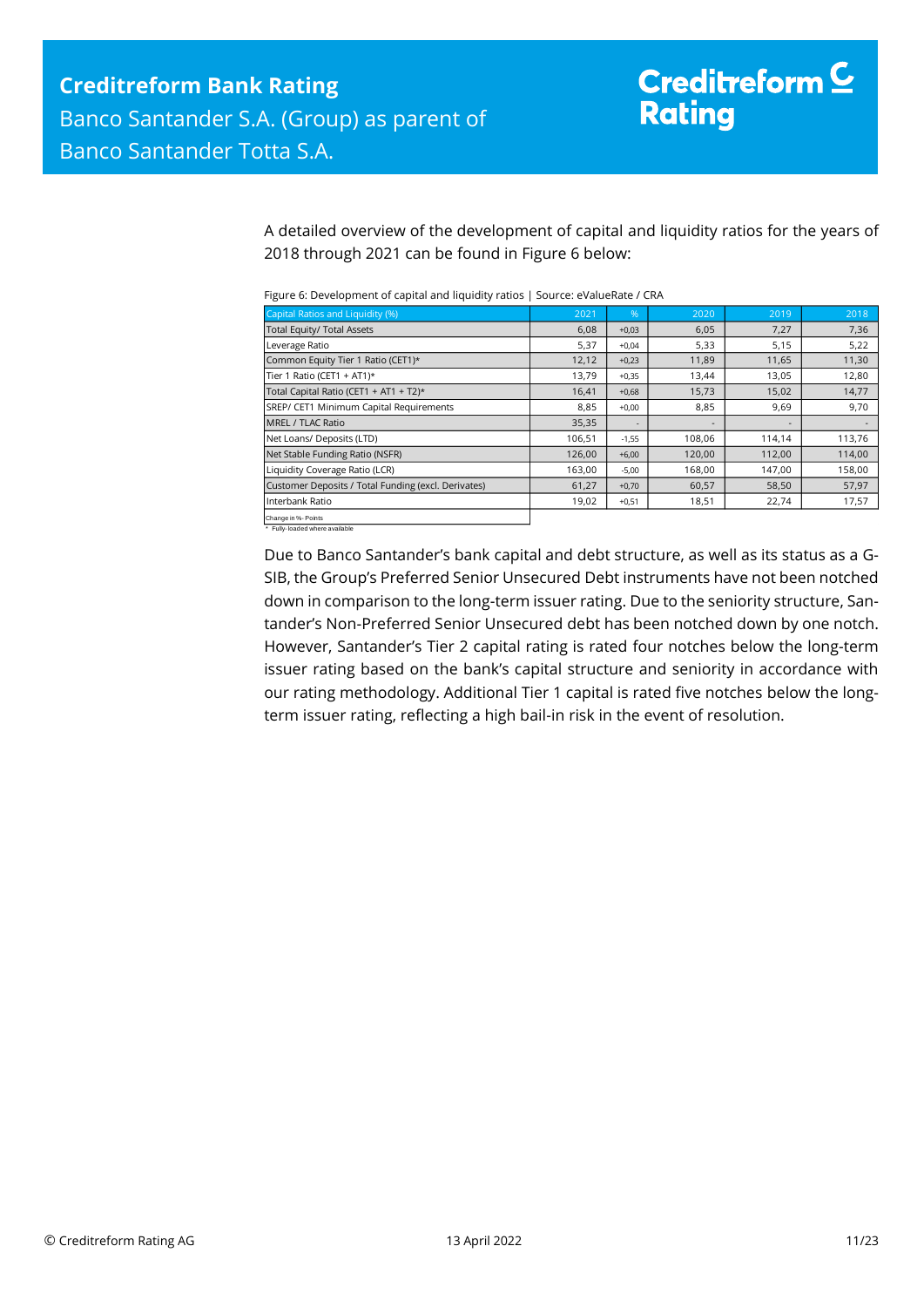A detailed overview of the development of capital and liquidity ratios for the years of 2018 through 2021 can be found in Figure 6 below:

| Figure 6: Development of capital and liquidity ratios   Source: eValueRate / CRA |  |  |
|----------------------------------------------------------------------------------|--|--|
|----------------------------------------------------------------------------------|--|--|

| Capital Ratios and Liquidity (%)                      | 2021   | %       | 2020   | 2019   | 2018   |
|-------------------------------------------------------|--------|---------|--------|--------|--------|
| Total Equity/ Total Assets                            | 6,08   | $+0,03$ | 6,05   | 7,27   | 7,36   |
| Leverage Ratio                                        | 5,37   | $+0,04$ | 5,33   | 5,15   | 5,22   |
| Common Equity Tier 1 Ratio (CET1)*                    | 12,12  | $+0,23$ | 11,89  | 11,65  | 11,30  |
| Tier 1 Ratio (CET1 + AT1)*                            | 13,79  | $+0,35$ | 13,44  | 13,05  | 12,80  |
| Total Capital Ratio (CET1 + AT1 + T2)*                | 16,41  | $+0,68$ | 15,73  | 15,02  | 14,77  |
| SREP/ CET1 Minimum Capital Requirements               | 8,85   | $+0,00$ | 8,85   | 9,69   | 9,70   |
| <b>MREL / TLAC Ratio</b>                              | 35,35  |         |        |        |        |
| Net Loans/ Deposits (LTD)                             | 106,51 | $-1,55$ | 108,06 | 114,14 | 113,76 |
| Net Stable Funding Ratio (NSFR)                       | 126,00 | $+6,00$ | 120,00 | 112,00 | 114,00 |
| Liquidity Coverage Ratio (LCR)                        | 163,00 | $-5,00$ | 168,00 | 147,00 | 158,00 |
| Customer Deposits / Total Funding (excl. Derivates)   | 61,27  | $+0,70$ | 60,57  | 58,50  | 57,97  |
| Interbank Ratio                                       | 19,02  | $+0,51$ | 18,51  | 22,74  | 17,57  |
| Change in %- Points<br>* Fully-loaded where available |        |         |        |        |        |

Due to Banco Santander's bank capital and debt structure, as well as its status as a G-SIB, the Group's Preferred Senior Unsecured Debt instruments have not been notched down in comparison to the long-term issuer rating. Due to the seniority structure, Santander's Non-Preferred Senior Unsecured debt has been notched down by one notch. However, Santander's Tier 2 capital rating is rated four notches below the long-term issuer rating based on the bank's capital structure and seniority in accordance with our rating methodology. Additional Tier 1 capital is rated five notches below the longterm issuer rating, reflecting a high bail-in risk in the event of resolution.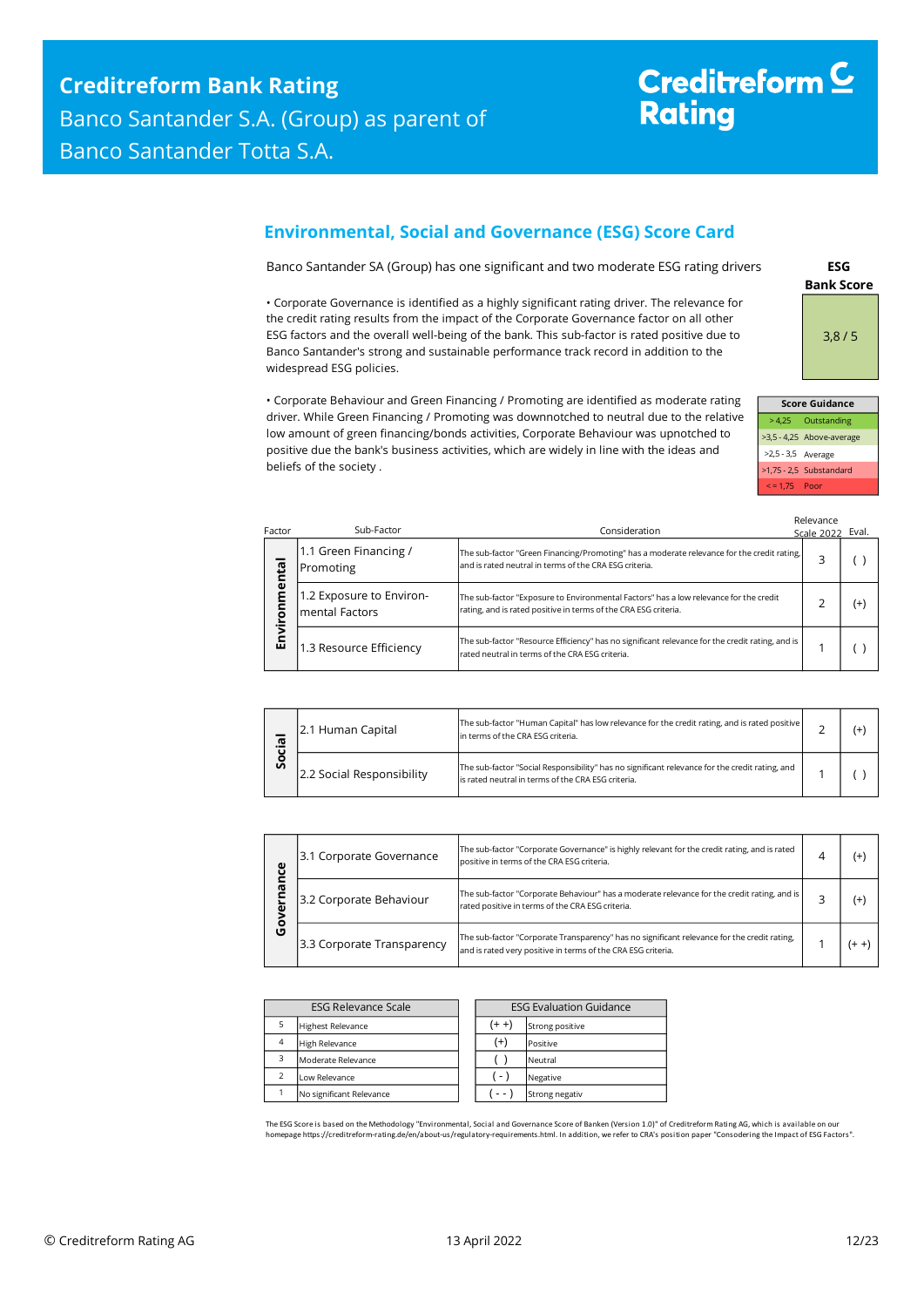# Creditreform<sup>C</sup> **Rating**

## <span id="page-11-0"></span>**Environmental, Social and Governance (ESG) Score Card**

Banco Santander SA (Group) has one significant and two moderate ESG rating drivers

• Corporate Governance is identified as a highly significant rating driver. The relevance for the credit rating results from the impact of the Corporate Governance factor on all other ESG factors and the overall well-being of the bank. This sub-factor is rated positive due to Banco Santander's strong and sustainable performance track record in addition to the widespread ESG policies.

• Corporate Behaviour and Green Financing / Promoting are identified as moderate rating driver. While Green Financing / Promoting was downnotched to neutral due to the relative low amount of green financing/bonds activities, Corporate Behaviour was upnotched to positive due the bank's business activities, which are widely in line with the ideas and beliefs of the society .

**Bank Score ESG**  3,8 / 5

| <b>Score Guidance</b> |                           |  |  |  |
|-----------------------|---------------------------|--|--|--|
|                       | > 4,25 Outstanding        |  |  |  |
|                       | >3,5 - 4,25 Above-average |  |  |  |
| >2,5 - 3,5 Average    |                           |  |  |  |
|                       | >1,75 - 2,5 Substandard   |  |  |  |
| $\le$ = 1.75 Poor     |                           |  |  |  |

| Factor | Sub-Factor                                        | Consideration                                                                                                                                            | Relevance<br>Scale 2022 Eval. |     |
|--------|---------------------------------------------------|----------------------------------------------------------------------------------------------------------------------------------------------------------|-------------------------------|-----|
| ental  | 1.1 Green Financing /<br>Promoting                | The sub-factor "Green Financing/Promoting" has a moderate relevance for the credit rating,<br>and is rated neutral in terms of the CRA ESG criteria.     | 3                             |     |
| Ē<br>ā | 1.2 Exposure to Environ-<br><b>mental Factors</b> | The sub-factor "Exposure to Environmental Factors" has a low relevance for the credit<br>rating, and is rated positive in terms of the CRA ESG criteria. |                               | (+) |
| Envi   | 1.3 Resource Efficiency                           | The sub-factor "Resource Efficiency" has no significant relevance for the credit rating, and is<br>rated neutral in terms of the CRA ESG criteria.       |                               |     |

| 으.<br>တိ | 2.1 Human Capital         | The sub-factor "Human Capital" has low relevance for the credit rating, and is rated positive<br>In terms of the CRA ESG criteria.                    |  |  |
|----------|---------------------------|-------------------------------------------------------------------------------------------------------------------------------------------------------|--|--|
|          | 2.2 Social Responsibility | The sub-factor "Social Responsibility" has no significant relevance for the credit rating, and<br>lis rated neutral in terms of the CRA ESG criteria. |  |  |

| Φ      | 3.1 Corporate Governance                                                                                                                                                                  | The sub-factor "Corporate Governance" is highly relevant for the credit rating, and is rated<br>positive in terms of the CRA ESG criteria.      |  | (+        |
|--------|-------------------------------------------------------------------------------------------------------------------------------------------------------------------------------------------|-------------------------------------------------------------------------------------------------------------------------------------------------|--|-----------|
|        | 3.2 Corporate Behaviour                                                                                                                                                                   | The sub-factor "Corporate Behaviour" has a moderate relevance for the credit rating, and is<br>rated positive in terms of the CRA ESG criteria. |  | (+        |
| о<br>O | The sub-factor "Corporate Transparency" has no significant relevance for the credit rating,<br>3.3 Corporate Transparency<br>and is rated very positive in terms of the CRA ESG criteria. |                                                                                                                                                 |  | $(1 + 1)$ |

| <b>ESG Relevance Scale</b> |                          |  | <b>ESG Evaluation Guidance</b> |                 |  |
|----------------------------|--------------------------|--|--------------------------------|-----------------|--|
|                            | <b>Highest Relevance</b> |  | $(+ +)$                        | Strong positive |  |
| $\overline{4}$             | <b>High Relevance</b>    |  | $^{(+)}$                       | Positive        |  |
| з                          | Moderate Relevance       |  |                                | Neutral         |  |
|                            | Low Relevance            |  | $\left( -\right)$              | Negative        |  |
|                            | No significant Relevance |  | - -                            | Strong negativ  |  |

The ESG Score is based on the Methodology "Environmental, Social and Governance Score of Banken (Version 1.0)" of Creditreform Rating AG, which is available on our<br>homepage https://creditreform-rating.de/en/about-us/regula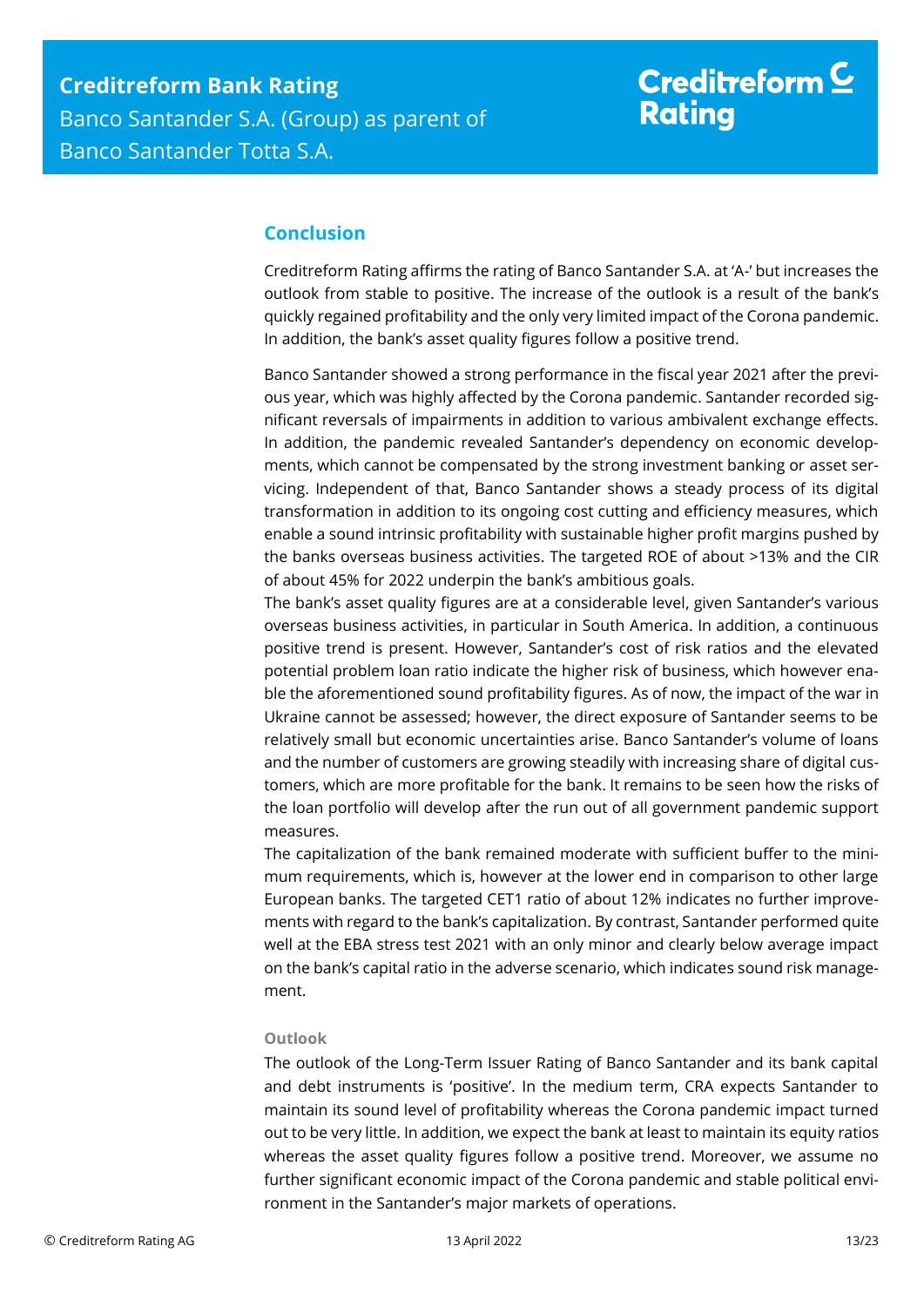# Creditreform  $\underline{\mathsf{C}}$ **Rating**

## <span id="page-12-0"></span>**Conclusion**

Creditreform Rating affirms the rating of Banco Santander S.A. at 'A-' but increases the outlook from stable to positive. The increase of the outlook is a result of the bank's quickly regained profitability and the only very limited impact of the Corona pandemic. In addition, the bank's asset quality figures follow a positive trend.

Banco Santander showed a strong performance in the fiscal year 2021 after the previous year, which was highly affected by the Corona pandemic. Santander recorded significant reversals of impairments in addition to various ambivalent exchange effects. In addition, the pandemic revealed Santander's dependency on economic developments, which cannot be compensated by the strong investment banking or asset servicing. Independent of that, Banco Santander shows a steady process of its digital transformation in addition to its ongoing cost cutting and efficiency measures, which enable a sound intrinsic profitability with sustainable higher profit margins pushed by the banks overseas business activities. The targeted ROE of about >13% and the CIR of about 45% for 2022 underpin the bank's ambitious goals.

The bank's asset quality figures are at a considerable level, given Santander's various overseas business activities, in particular in South America. In addition, a continuous positive trend is present. However, Santander's cost of risk ratios and the elevated potential problem loan ratio indicate the higher risk of business, which however enable the aforementioned sound profitability figures. As of now, the impact of the war in Ukraine cannot be assessed; however, the direct exposure of Santander seems to be relatively small but economic uncertainties arise. Banco Santander's volume of loans and the number of customers are growing steadily with increasing share of digital customers, which are more profitable for the bank. It remains to be seen how the risks of the loan portfolio will develop after the run out of all government pandemic support measures.

The capitalization of the bank remained moderate with sufficient buffer to the minimum requirements, which is, however at the lower end in comparison to other large European banks. The targeted CET1 ratio of about 12% indicates no further improvements with regard to the bank's capitalization. By contrast, Santander performed quite well at the EBA stress test 2021 with an only minor and clearly below average impact on the bank's capital ratio in the adverse scenario, which indicates sound risk management.

### **Outlook**

The outlook of the Long-Term Issuer Rating of Banco Santander and its bank capital and debt instruments is 'positive'. In the medium term, CRA expects Santander to maintain its sound level of profitability whereas the Corona pandemic impact turned out to be very little. In addition, we expect the bank at least to maintain its equity ratios whereas the asset quality figures follow a positive trend. Moreover, we assume no further significant economic impact of the Corona pandemic and stable political environment in the Santander's major markets of operations.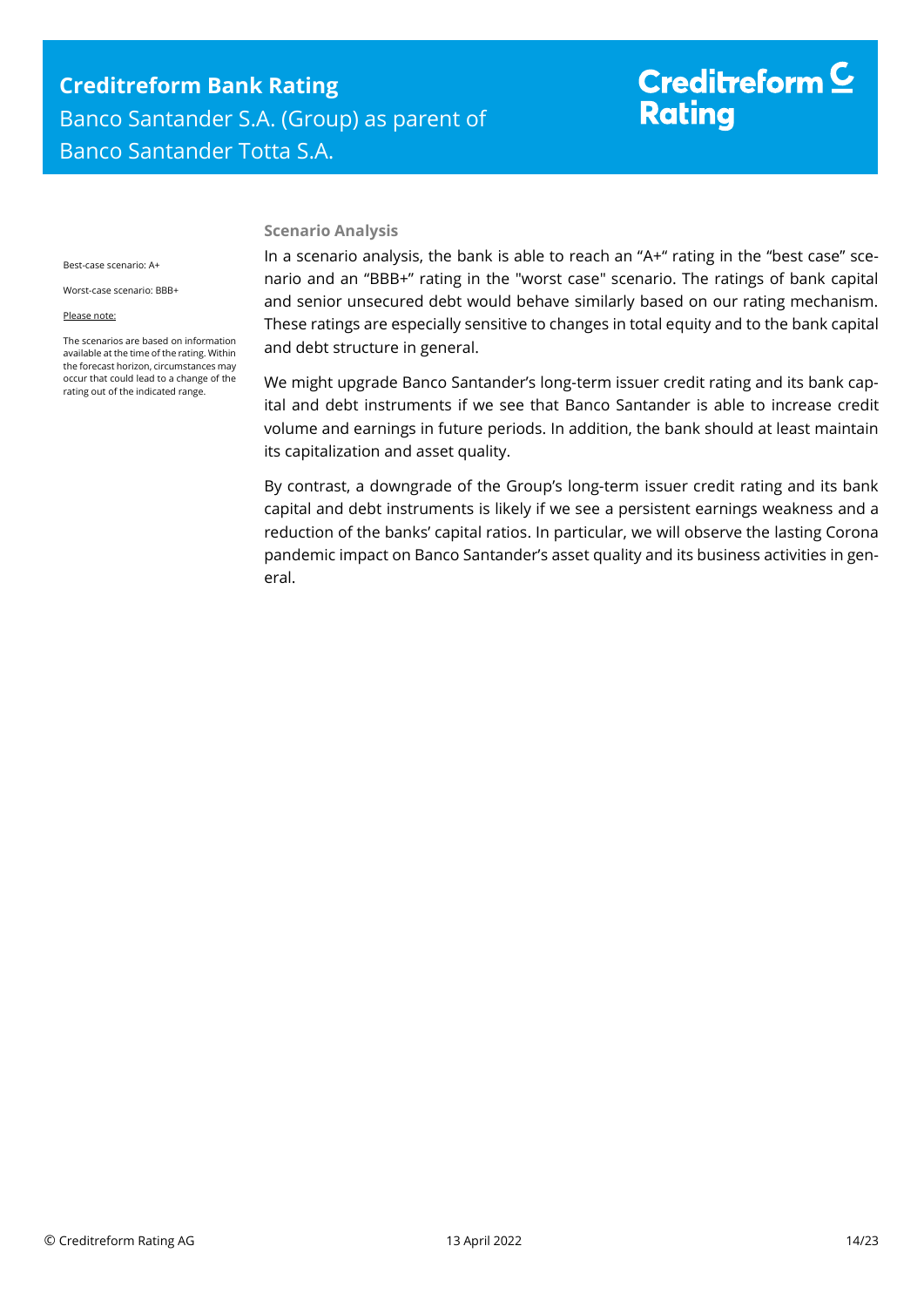## **Creditreform Bank Rating** Banco Santander S.A. (Group) as parent of Banco Santander Totta S.A.

# Creditreform  $\underline{\mathsf{C}}$ **Rating**

Best-case scenario: A+

Worst-case scenario: BBB+

Please note:

The scenarios are based on information available at the time of the rating. Within the forecast horizon, circumstances may occur that could lead to a change of the rating out of the indicated range.

#### **Scenario Analysis**

In a scenario analysis, the bank is able to reach an "A+" rating in the "best case" scenario and an "BBB+" rating in the "worst case" scenario. The ratings of bank capital and senior unsecured debt would behave similarly based on our rating mechanism. These ratings are especially sensitive to changes in total equity and to the bank capital and debt structure in general.

We might upgrade Banco Santander's long-term issuer credit rating and its bank capital and debt instruments if we see that Banco Santander is able to increase credit volume and earnings in future periods. In addition, the bank should at least maintain its capitalization and asset quality.

By contrast, a downgrade of the Group's long-term issuer credit rating and its bank capital and debt instruments is likely if we see a persistent earnings weakness and a reduction of the banks' capital ratios. In particular, we will observe the lasting Corona pandemic impact on Banco Santander's asset quality and its business activities in general.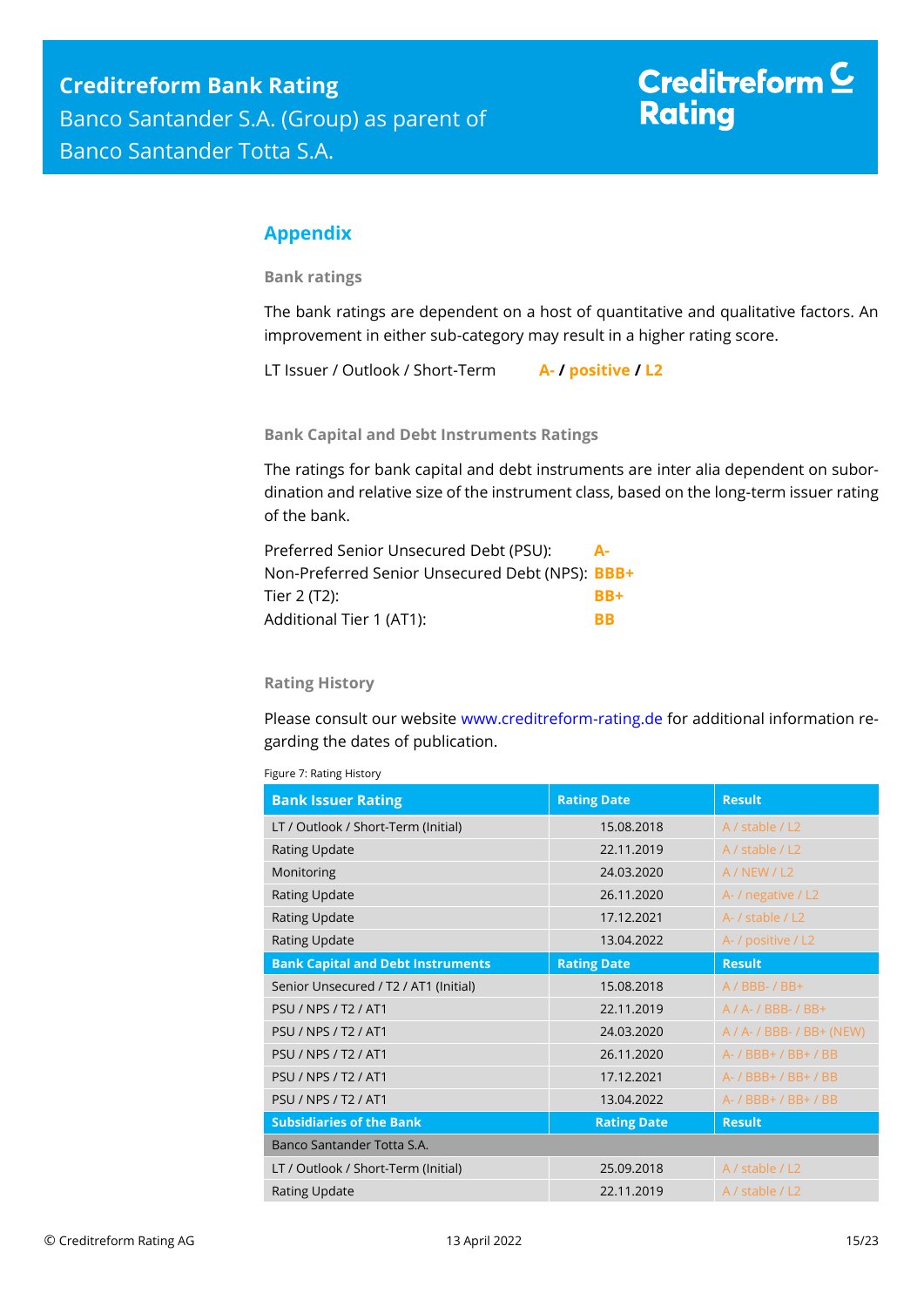## <span id="page-14-0"></span>**Appendix**

**Bank ratings**

The bank ratings are dependent on a host of quantitative and qualitative factors. An improvement in either sub-category may result in a higher rating score.

LT Issuer / Outlook / Short-Term **A- / positive / L2**

**Bank Capital and Debt Instruments Ratings**

The ratings for bank capital and debt instruments are inter alia dependent on subordination and relative size of the instrument class, based on the long-term issuer rating of the bank.

| Preferred Senior Unsecured Debt (PSU):          | А-        |
|-------------------------------------------------|-----------|
| Non-Preferred Senior Unsecured Debt (NPS): BBB+ |           |
| Tier 2 (T2):                                    | $RR+$     |
| Additional Tier 1 (AT1):                        | <b>RR</b> |

### **Rating History**

Please consult our website [www.creditreform-rating.de](http://www.creditreform-rating.de/) for additional information regarding the dates of publication.

|  | Figure 7: Rating History |
|--|--------------------------|
|  |                          |

| <b>Bank Issuer Rating</b>                | <b>Rating Date</b> | <b>Result</b>                  |
|------------------------------------------|--------------------|--------------------------------|
| LT / Outlook / Short-Term (Initial)      | 15.08.2018         | A / stable / L2                |
| <b>Rating Update</b>                     | 22.11.2019         | A / stable / L2                |
| Monitoring                               | 24.03.2020         | A/NEW/L2                       |
| <b>Rating Update</b>                     | 26.11.2020         | A- / negative / L2             |
| <b>Rating Update</b>                     | 17.12.2021         | A- / stable / L2               |
| <b>Rating Update</b>                     | 13.04.2022         | A- / positive / L2             |
| <b>Bank Capital and Debt Instruments</b> | <b>Rating Date</b> | <b>Result</b>                  |
| Senior Unsecured / T2 / AT1 (Initial)    | 15.08.2018         | $A / BBB - / BB +$             |
| <b>PSU / NPS / T2 / AT1</b>              | 22.11.2019         | $A / A - / BBB - / BB +$       |
| <b>PSU / NPS / T2 / AT1</b>              | 24.03.2020         | $A / A - / BBB - / BB + (NEW)$ |
| <b>PSU / NPS / T2 / AT1</b>              | 26.11.2020         | A- / BBB+ / BB+ / BB           |
| <b>PSU / NPS / T2 / AT1</b>              | 17.12.2021         | A- / BBB+ / BB+ / BB           |
| <b>PSU / NPS / T2 / AT1</b>              | 13.04.2022         | A- / BBB+ / BB+ / BB           |
| <b>Subsidiaries of the Bank</b>          | <b>Rating Date</b> | <b>Result</b>                  |
| Banco Santander Totta S.A.               |                    |                                |
| LT / Outlook / Short-Term (Initial)      | 25.09.2018         | A / stable / L2                |
| <b>Rating Update</b>                     | 22.11.2019         | A / stable / L2                |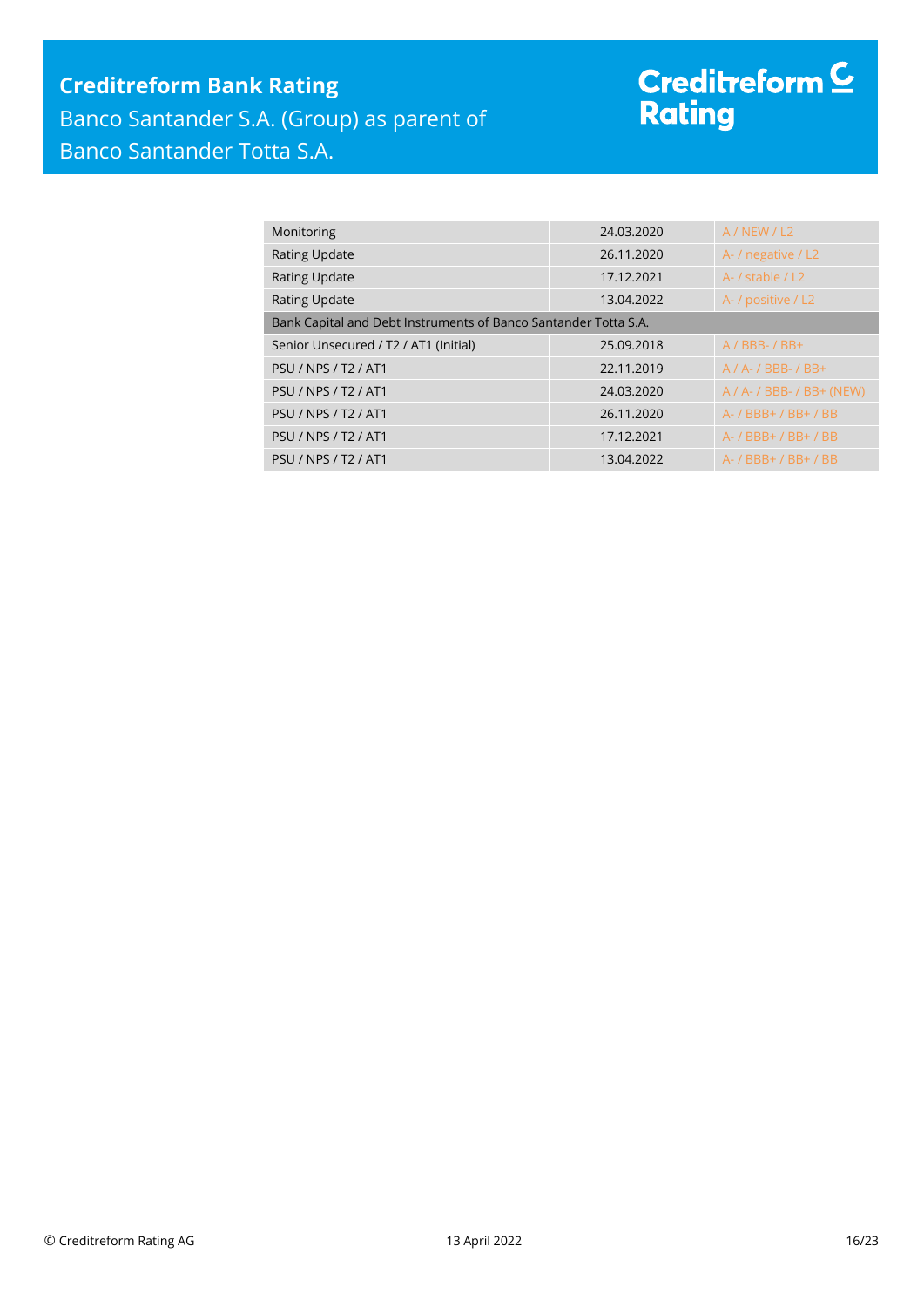## **Creditreform Bank Rating**

Banco Santander S.A. (Group) as parent of Banco Santander Totta S.A.

# Creditreform <sup>C</sup><br>Rating

| Monitoring                                                      | 24.03.2020 | A/NEW/L2                       |
|-----------------------------------------------------------------|------------|--------------------------------|
| <b>Rating Update</b>                                            | 26.11.2020 | A- / negative / L2             |
| <b>Rating Update</b>                                            | 17.12.2021 | A- / stable / L2               |
| <b>Rating Update</b>                                            | 13.04.2022 | A- / positive / L2             |
| Bank Capital and Debt Instruments of Banco Santander Totta S.A. |            |                                |
| Senior Unsecured / T2 / AT1 (Initial)                           | 25.09.2018 | $A / BBB - / BB +$             |
| <b>PSU / NPS / T2 / AT1</b>                                     | 22.11.2019 | $A / A - / BBB - / BB +$       |
| <b>PSU / NPS / T2 / AT1</b>                                     | 24.03.2020 | $A / A - / BBB - / BB + (NEW)$ |
| <b>PSU / NPS / T2 / AT1</b>                                     | 26.11.2020 | A- / BBB+ / BB+ / BB           |
| <b>PSU / NPS / T2 / AT1</b>                                     | 17.12.2021 | A- / BBB+ / BB+ / BB           |
| <b>PSU / NPS / T2 / AT1</b>                                     | 13.04.2022 | A- / BBB+ / BB+ / BB           |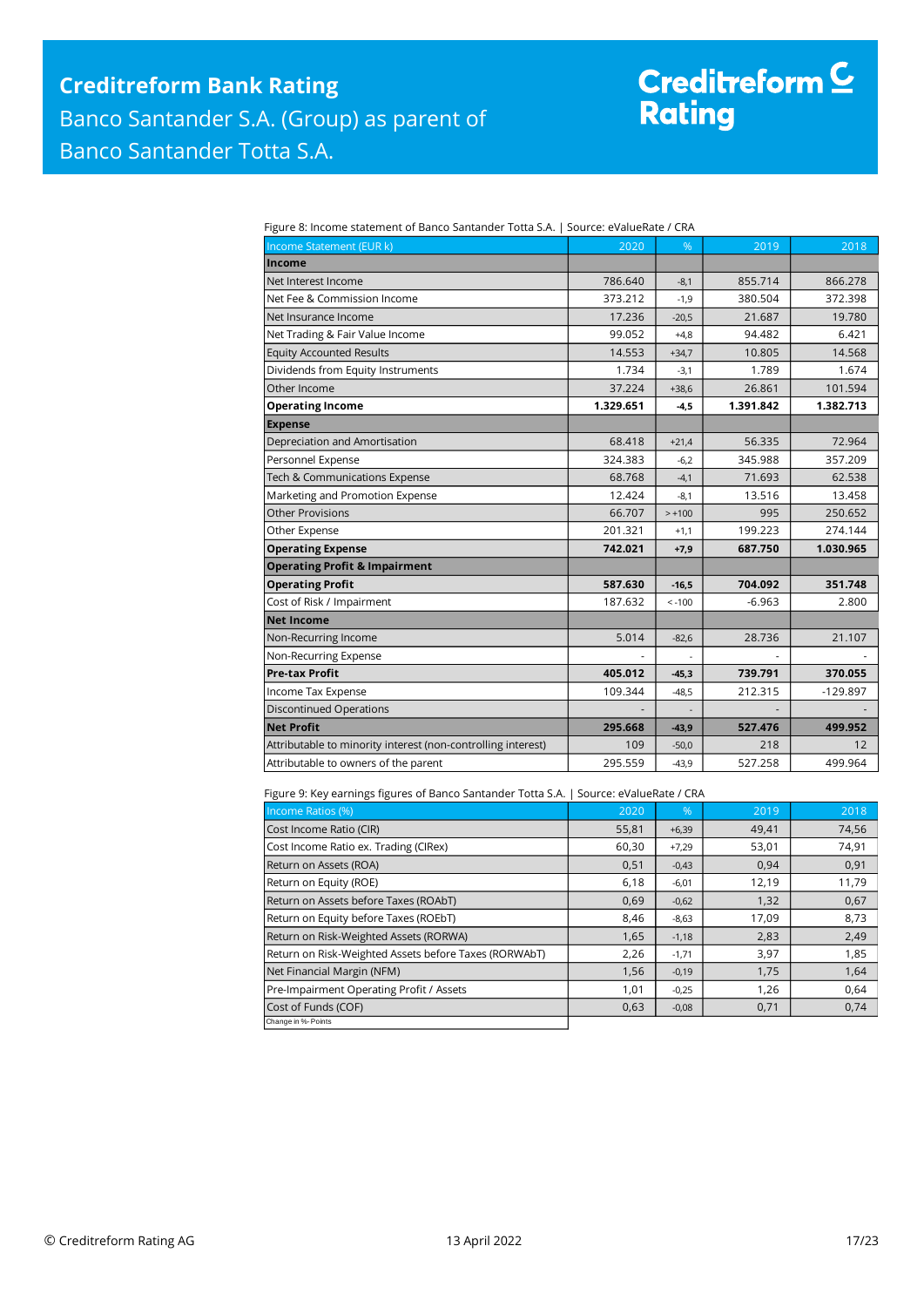# Creditreform <sup>C</sup><br>Rating

| Figure 8: Income statement of Banco Santander Totta S.A.   Source: eValueRate / CRA |  |
|-------------------------------------------------------------------------------------|--|
|                                                                                     |  |

| Income Statement (EUR k)                                     | 2020      | %        | 2019      | 2018       |
|--------------------------------------------------------------|-----------|----------|-----------|------------|
| <b>Income</b>                                                |           |          |           |            |
| Net Interest Income                                          | 786.640   | $-8,1$   | 855.714   | 866.278    |
| Net Fee & Commission Income                                  | 373.212   | $-1.9$   | 380.504   | 372.398    |
| Net Insurance Income                                         | 17.236    | $-20,5$  | 21.687    | 19.780     |
| Net Trading & Fair Value Income                              | 99.052    | $+4,8$   | 94.482    | 6.421      |
| <b>Equity Accounted Results</b>                              | 14.553    | $+34,7$  | 10.805    | 14.568     |
| Dividends from Equity Instruments                            | 1.734     | $-3,1$   | 1.789     | 1.674      |
| Other Income                                                 | 37.224    | $+38,6$  | 26.861    | 101.594    |
| <b>Operating Income</b>                                      | 1.329.651 | $-4,5$   | 1.391.842 | 1.382.713  |
| <b>Expense</b>                                               |           |          |           |            |
| Depreciation and Amortisation                                | 68.418    | $+21,4$  | 56.335    | 72.964     |
| Personnel Expense                                            | 324.383   | $-6,2$   | 345.988   | 357.209    |
| Tech & Communications Expense                                | 68.768    | $-4,1$   | 71.693    | 62.538     |
| Marketing and Promotion Expense                              | 12.424    | $-8,1$   | 13.516    | 13.458     |
| <b>Other Provisions</b>                                      | 66.707    | $> +100$ | 995       | 250.652    |
| Other Expense                                                | 201.321   | $+1,1$   | 199.223   | 274.144    |
| <b>Operating Expense</b>                                     | 742.021   | $+7,9$   | 687.750   | 1.030.965  |
| <b>Operating Profit &amp; Impairment</b>                     |           |          |           |            |
| <b>Operating Profit</b>                                      | 587.630   | $-16,5$  | 704.092   | 351.748    |
| Cost of Risk / Impairment                                    | 187.632   | $< -100$ | $-6.963$  | 2.800      |
| <b>Net Income</b>                                            |           |          |           |            |
| Non-Recurring Income                                         | 5.014     | $-82.6$  | 28.736    | 21.107     |
| Non-Recurring Expense                                        |           |          |           |            |
| <b>Pre-tax Profit</b>                                        | 405.012   | $-45,3$  | 739.791   | 370.055    |
| Income Tax Expense                                           | 109.344   | $-48,5$  | 212.315   | $-129.897$ |
| <b>Discontinued Operations</b>                               |           |          |           |            |
| <b>Net Profit</b>                                            | 295.668   | $-43,9$  | 527.476   | 499.952    |
| Attributable to minority interest (non-controlling interest) | 109       | $-50,0$  | 218       | 12         |
| Attributable to owners of the parent                         | 295.559   | $-43,9$  | 527.258   | 499.964    |

Figure 9: Key earnings figures of Banco Santander Totta S.A. | Source: eValueRate / CRA

| Income Ratios (%)                                     | 2020  | $\frac{9}{6}$ | 2019  | 2018  |
|-------------------------------------------------------|-------|---------------|-------|-------|
| Cost Income Ratio (CIR)                               | 55,81 | $+6,39$       | 49,41 | 74,56 |
| Cost Income Ratio ex. Trading (CIRex)                 | 60,30 | $+7,29$       | 53,01 | 74,91 |
| Return on Assets (ROA)                                | 0,51  | $-0,43$       | 0,94  | 0,91  |
| Return on Equity (ROE)                                | 6,18  | $-6,01$       | 12,19 | 11,79 |
| Return on Assets before Taxes (ROAbT)                 | 0,69  | $-0,62$       | 1,32  | 0,67  |
| Return on Equity before Taxes (ROEbT)                 | 8,46  | $-8,63$       | 17,09 | 8,73  |
| Return on Risk-Weighted Assets (RORWA)                | 1,65  | $-1,18$       | 2,83  | 2,49  |
| Return on Risk-Weighted Assets before Taxes (RORWAbT) | 2,26  | $-1,71$       | 3,97  | 1,85  |
| Net Financial Margin (NFM)                            | 1,56  | $-0,19$       | 1,75  | 1,64  |
| Pre-Impairment Operating Profit / Assets              | 1,01  | $-0,25$       | 1,26  | 0,64  |
| Cost of Funds (COF)                                   | 0,63  | $-0.08$       | 0,71  | 0,74  |
| Change in %- Points                                   |       |               |       |       |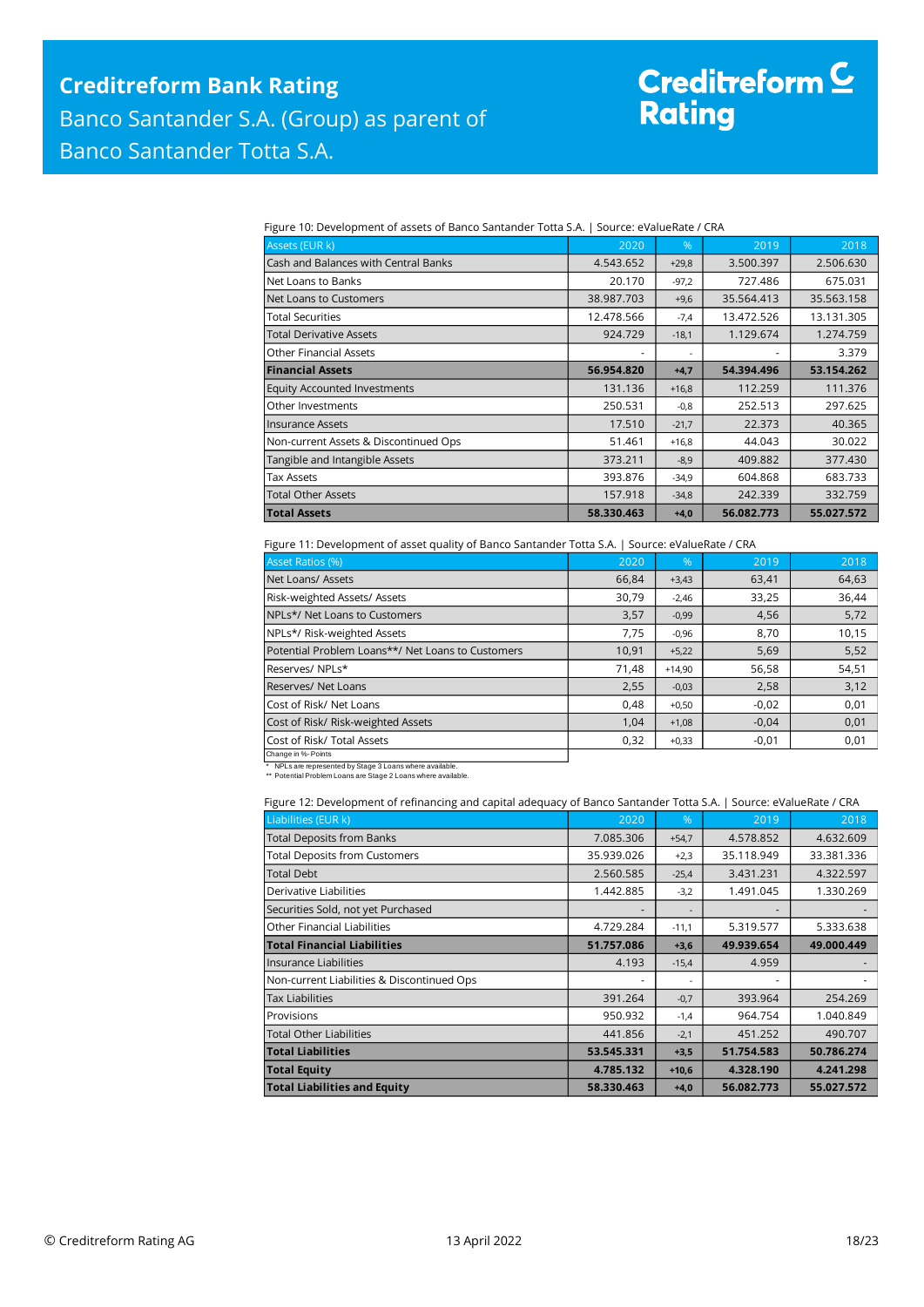# Creditreform C<br>Rating

Figure 10: Development of assets of Banco Santander Totta S.A. | Source: eValueRate / CRA

| Assets (EUR k)                        | 2020       | %       | 2019       | 2018       |
|---------------------------------------|------------|---------|------------|------------|
| Cash and Balances with Central Banks  | 4.543.652  | $+29,8$ | 3.500.397  | 2.506.630  |
| Net Loans to Banks                    | 20.170     | $-97.2$ | 727.486    | 675.031    |
| Net Loans to Customers                | 38.987.703 | $+9,6$  | 35.564.413 | 35.563.158 |
| Total Securities                      | 12.478.566 | $-7,4$  | 13.472.526 | 13.131.305 |
| Total Derivative Assets               | 924.729    | $-18,1$ | 1.129.674  | 1.274.759  |
| <b>Other Financial Assets</b>         |            |         |            | 3.379      |
| <b>Financial Assets</b>               | 56.954.820 | $+4,7$  | 54.394.496 | 53.154.262 |
| <b>Equity Accounted Investments</b>   | 131.136    | $+16.8$ | 112.259    | 111.376    |
| <b>Other Investments</b>              | 250.531    | $-0,8$  | 252.513    | 297.625    |
| <b>Insurance Assets</b>               | 17.510     | $-21,7$ | 22.373     | 40.365     |
| Non-current Assets & Discontinued Ops | 51.461     | $+16.8$ | 44.043     | 30.022     |
| Tangible and Intangible Assets        | 373.211    | $-8,9$  | 409.882    | 377.430    |
| <b>Tax Assets</b>                     | 393.876    | $-34,9$ | 604.868    | 683.733    |
| <b>Total Other Assets</b>             | 157.918    | $-34.8$ | 242.339    | 332.759    |
| <b>Total Assets</b>                   | 58.330.463 | $+4.0$  | 56.082.773 | 55.027.572 |

#### Figure 11: Development of asset quality of Banco Santander Totta S.A. | Source: eValueRate / CRA

| <b>Asset Ratios (%)</b>                           | 2020  | %        | 2019    | 2018  |
|---------------------------------------------------|-------|----------|---------|-------|
| Net Loans/ Assets                                 | 66,84 | $+3,43$  | 63,41   | 64,63 |
| Risk-weighted Assets/ Assets                      | 30,79 | $-2,46$  | 33,25   | 36,44 |
| NPLs*/ Net Loans to Customers                     | 3,57  | $-0,99$  | 4,56    | 5,72  |
| NPLs*/ Risk-weighted Assets                       | 7,75  | $-0,96$  | 8,70    | 10,15 |
| Potential Problem Loans**/ Net Loans to Customers | 10,91 | $+5,22$  | 5,69    | 5,52  |
| Reserves/ NPLs*                                   | 71,48 | $+14,90$ | 56,58   | 54,51 |
| Reserves/ Net Loans                               | 2,55  | $-0,03$  | 2,58    | 3,12  |
| Cost of Risk/ Net Loans                           | 0.48  | $+0,50$  | $-0.02$ | 0,01  |
| Cost of Risk/ Risk-weighted Assets                | 1,04  | $+1,08$  | $-0.04$ | 0,01  |
| Cost of Risk/ Total Assets                        | 0,32  | $+0,33$  | $-0,01$ | 0,01  |
| Change in %- Points                               |       |          |         |       |

\* NPLs are represented by Stage 3 Loans where available. \*\* Potential Problem Loans are Stage 2 Loans where available.

| Figure 12: Development of refinancing and capital adequacy of Banco Santander Totta S.A.   Source: eValueRate / CRA |  |  |  |
|---------------------------------------------------------------------------------------------------------------------|--|--|--|
|                                                                                                                     |  |  |  |

| Liabilities (EUR k)                        | 2020       | $\frac{9}{6}$ | 2019       | 2018       |
|--------------------------------------------|------------|---------------|------------|------------|
| <b>Total Deposits from Banks</b>           | 7.085.306  | $+54,7$       | 4.578.852  | 4.632.609  |
| <b>Total Deposits from Customers</b>       | 35.939.026 | $+2,3$        | 35.118.949 | 33.381.336 |
| <b>Total Debt</b>                          | 2.560.585  | $-25,4$       | 3.431.231  | 4.322.597  |
| Derivative Liabilities                     | 1.442.885  | $-3,2$        | 1.491.045  | 1.330.269  |
| Securities Sold, not yet Purchased         |            |               |            |            |
| Other Financial Liabilities                | 4.729.284  | $-11,1$       | 5.319.577  | 5.333.638  |
| <b>Total Financial Liabilities</b>         | 51.757.086 | $+3,6$        | 49.939.654 | 49.000.449 |
| Insurance Liabilities                      | 4.193      | $-15,4$       | 4.959      |            |
| Non-current Liabilities & Discontinued Ops |            |               |            |            |
| <b>Tax Liabilities</b>                     | 391.264    | $-0,7$        | 393.964    | 254.269    |
| Provisions                                 | 950.932    | $-1,4$        | 964.754    | 1.040.849  |
| <b>Total Other Liabilities</b>             | 441.856    | $-2,1$        | 451.252    | 490.707    |
| <b>Total Liabilities</b>                   | 53.545.331 | $+3,5$        | 51.754.583 | 50.786.274 |
| <b>Total Equity</b>                        | 4.785.132  | $+10,6$       | 4.328.190  | 4.241.298  |
| <b>Total Liabilities and Equity</b>        | 58.330.463 | $+4,0$        | 56.082.773 | 55.027.572 |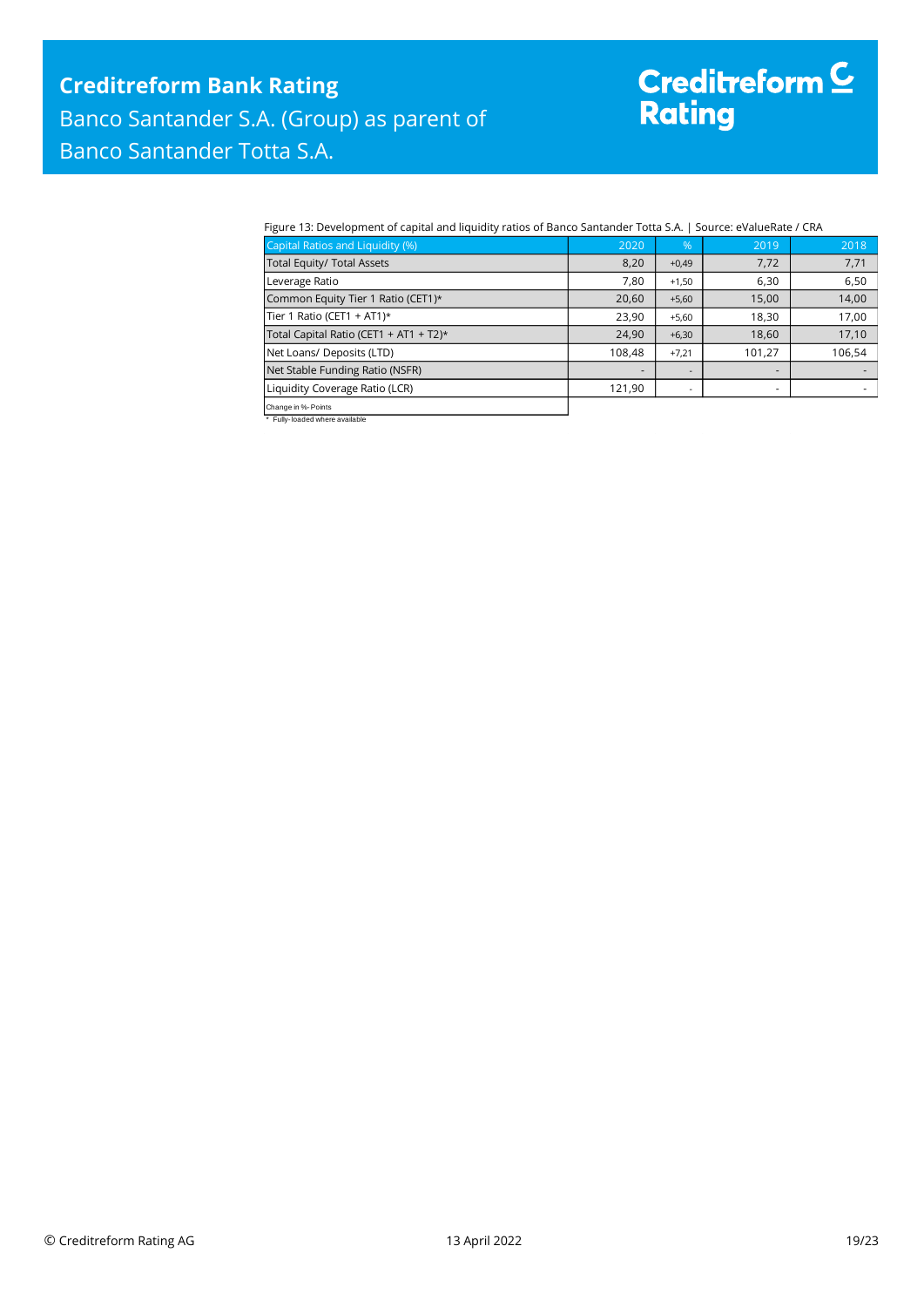# Creditreform <sup>C</sup><br>Rating

#### Figure 13: Development of capital and liquidity ratios of Banco Santander Totta S.A. | Source: eValueRate / CRA

| Capital Ratios and Liquidity (%)       | 2020   | %       | 2019   | 2018   |
|----------------------------------------|--------|---------|--------|--------|
| Total Equity/ Total Assets             | 8,20   | $+0,49$ | 7,72   | 7,71   |
| Leverage Ratio                         | 7,80   | $+1,50$ | 6,30   | 6,50   |
| Common Equity Tier 1 Ratio (CET1)*     | 20,60  | $+5,60$ | 15,00  | 14,00  |
| Tier 1 Ratio (CET1 + AT1) $*$          | 23,90  | $+5,60$ | 18,30  | 17,00  |
| Total Capital Ratio (CET1 + AT1 + T2)* | 24,90  | $+6,30$ | 18,60  | 17,10  |
| Net Loans/ Deposits (LTD)              | 108,48 | $+7.21$ | 101,27 | 106,54 |
| Net Stable Funding Ratio (NSFR)        |        |         | -      |        |
| Liquidity Coverage Ratio (LCR)         | 121,90 |         | ۰      |        |
| Change in %-Points                     |        |         |        |        |

Change in %- Points \* Fully- loaded where available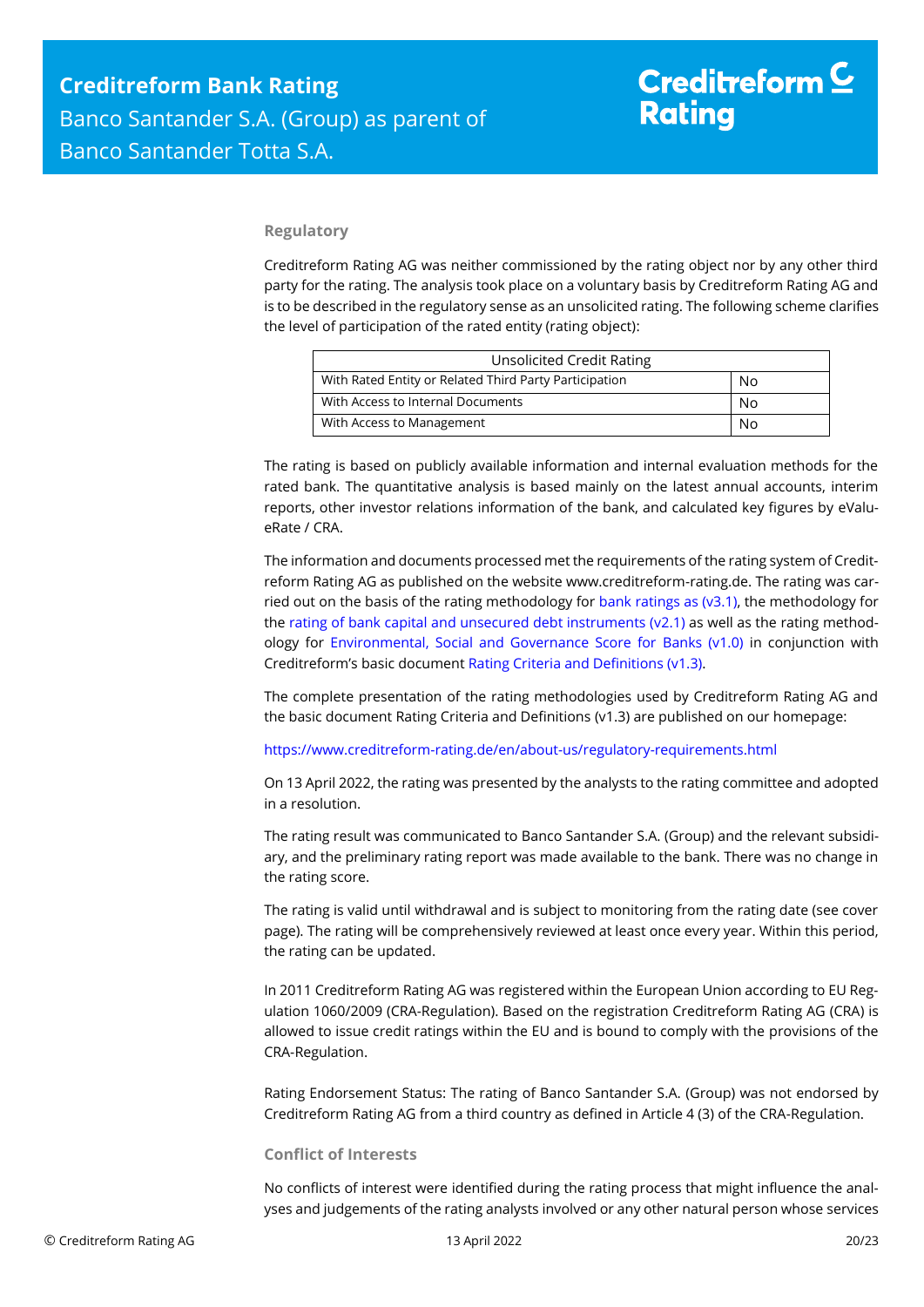#### **Regulatory**

Creditreform Rating AG was neither commissioned by the rating object nor by any other third party for the rating. The analysis took place on a voluntary basis by Creditreform Rating AG and is to be described in the regulatory sense as an unsolicited rating. The following scheme clarifies the level of participation of the rated entity (rating object):

| <b>Unsolicited Credit Rating</b>                       |    |
|--------------------------------------------------------|----|
| With Rated Entity or Related Third Party Participation | No |
| With Access to Internal Documents                      | No |
| With Access to Management                              | No |

The rating is based on publicly available information and internal evaluation methods for the rated bank. The quantitative analysis is based mainly on the latest annual accounts, interim reports, other investor relations information of the bank, and calculated key figures by eValueRate / CRA.

The information and documents processed met the requirements of the rating system of Creditreform Rating AG as published on the website www.creditreform-rating.de. The rating was carried out on the basis of the rating methodology for bank ratings as ( $v3.1$ ), the methodology for the [rating of bank capital and unsecured debt instruments \(v2.1\)](https://www.creditreform-rating.de/en/about-us/regulatory-requirements.html?file=files/content/downloads/Externes%20Rating/Regulatorische%20Anforderungen/EN/Ratingmethodiken%20EN/CRAG%20Rating%20Methodology%20Unsecured%20Debt%20Instruments%20v2.1%20EN.pdf) as well as the rating methodology for [Environmental, Social and Governance Score for](https://www.creditreform-rating.de/en/about-us/regulatory-requirements.html?file=files/content/downloads/Externes%20Rating/Regulatorische%20Anforderungen/EN/Ratingmethodiken%20EN/Rating%20Methodology%20ESG%20v1.0.pdf) Banks (v1.0) in conjunction with Creditreform's basic document [Rating Criteria and Definitions \(v1.3\).](https://www.creditreform-rating.de/en/about-us/regulatory-requirements.html?file=files/content/downloads/Externes%20Rating/Regulatorische%20Anforderungen/EN/Ratingmethodiken%20EN/CRAG%20Rating%20Criteria%20and%20Definitions.pdf)

The complete presentation of the rating methodologies used by Creditreform Rating AG and the basic document Rating Criteria and Definitions (v1.3) are published on our homepage:

<https://www.creditreform-rating.de/en/about-us/regulatory-requirements.html>

On 13 April 2022, the rating was presented by the analysts to the rating committee and adopted in a resolution.

The rating result was communicated to Banco Santander S.A. (Group) and the relevant subsidiary, and the preliminary rating report was made available to the bank. There was no change in the rating score.

The rating is valid until withdrawal and is subject to monitoring from the rating date (see cover page). The rating will be comprehensively reviewed at least once every year. Within this period, the rating can be updated.

In 2011 Creditreform Rating AG was registered within the European Union according to EU Regulation 1060/2009 (CRA-Regulation). Based on the registration Creditreform Rating AG (CRA) is allowed to issue credit ratings within the EU and is bound to comply with the provisions of the CRA-Regulation.

Rating Endorsement Status: The rating of Banco Santander S.A. (Group) was not endorsed by Creditreform Rating AG from a third country as defined in Article 4 (3) of the CRA-Regulation.

#### **Conflict of Interests**

No conflicts of interest were identified during the rating process that might influence the analyses and judgements of the rating analysts involved or any other natural person whose services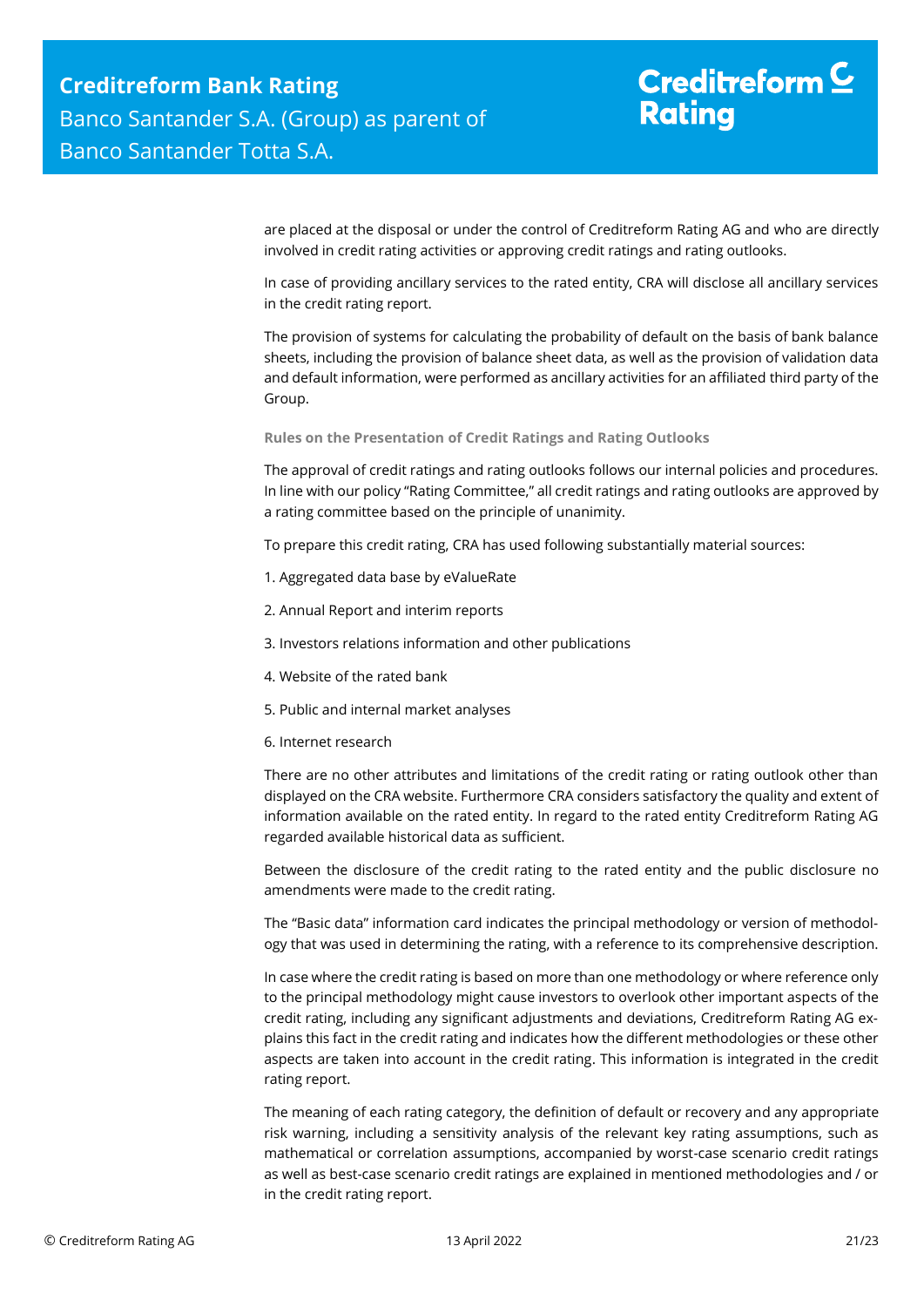# Creditreform  $\mathsf{\underline{C}}$ **Rating**

are placed at the disposal or under the control of Creditreform Rating AG and who are directly involved in credit rating activities or approving credit ratings and rating outlooks.

In case of providing ancillary services to the rated entity, CRA will disclose all ancillary services in the credit rating report.

The provision of systems for calculating the probability of default on the basis of bank balance sheets, including the provision of balance sheet data, as well as the provision of validation data and default information, were performed as ancillary activities for an affiliated third party of the Group.

**Rules on the Presentation of Credit Ratings and Rating Outlooks**

The approval of credit ratings and rating outlooks follows our internal policies and procedures. In line with our policy "Rating Committee," all credit ratings and rating outlooks are approved by a rating committee based on the principle of unanimity.

To prepare this credit rating, CRA has used following substantially material sources:

- 1. Aggregated data base by eValueRate
- 2. Annual Report and interim reports
- 3. Investors relations information and other publications
- 4. Website of the rated bank
- 5. Public and internal market analyses
- 6. Internet research

There are no other attributes and limitations of the credit rating or rating outlook other than displayed on the CRA website. Furthermore CRA considers satisfactory the quality and extent of information available on the rated entity. In regard to the rated entity Creditreform Rating AG regarded available historical data as sufficient.

Between the disclosure of the credit rating to the rated entity and the public disclosure no amendments were made to the credit rating.

The "Basic data" information card indicates the principal methodology or version of methodology that was used in determining the rating, with a reference to its comprehensive description.

In case where the credit rating is based on more than one methodology or where reference only to the principal methodology might cause investors to overlook other important aspects of the credit rating, including any significant adjustments and deviations, Creditreform Rating AG explains this fact in the credit rating and indicates how the different methodologies or these other aspects are taken into account in the credit rating. This information is integrated in the credit rating report.

The meaning of each rating category, the definition of default or recovery and any appropriate risk warning, including a sensitivity analysis of the relevant key rating assumptions, such as mathematical or correlation assumptions, accompanied by worst-case scenario credit ratings as well as best-case scenario credit ratings are explained in mentioned methodologies and / or in the credit rating report.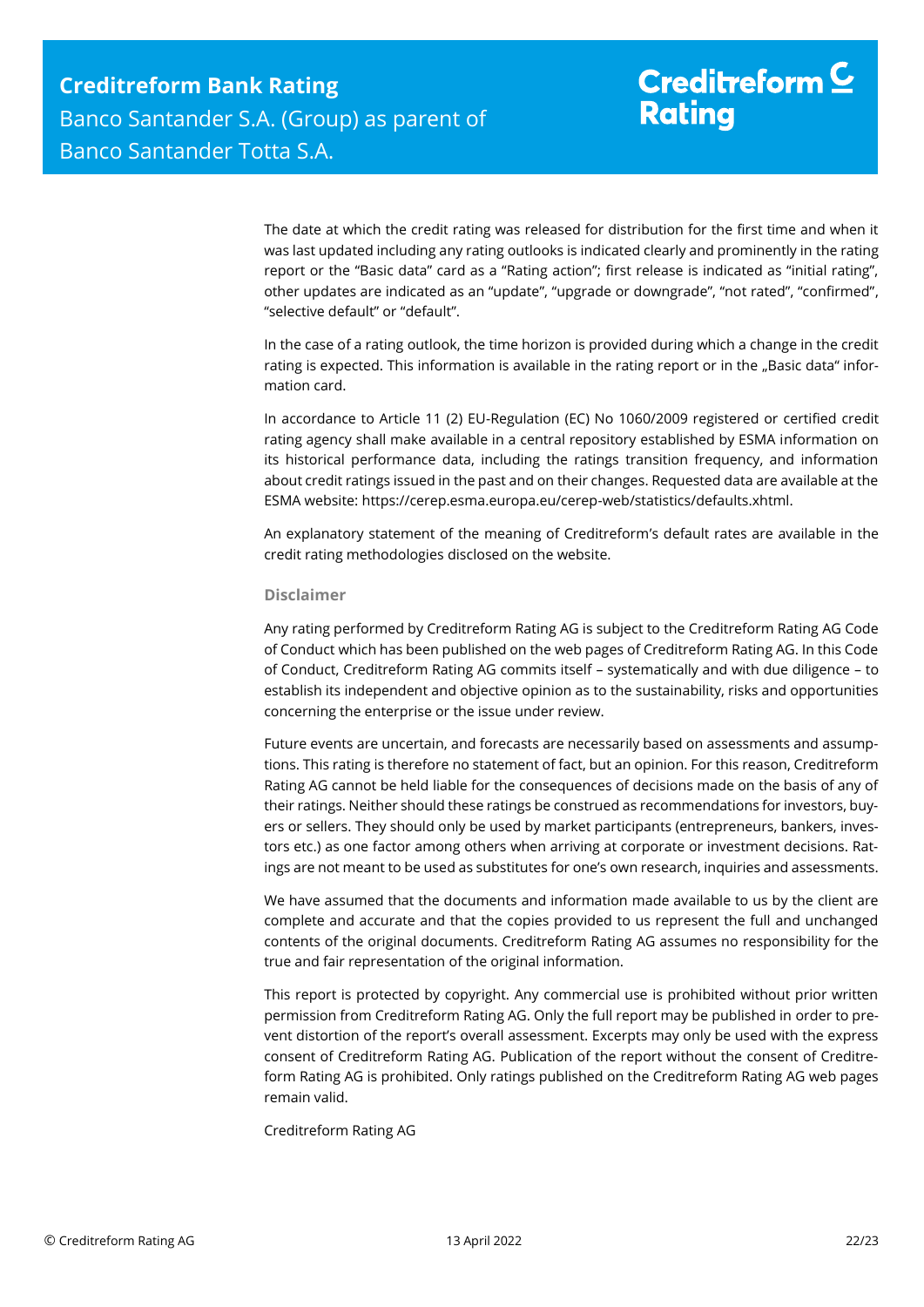The date at which the credit rating was released for distribution for the first time and when it was last updated including any rating outlooks is indicated clearly and prominently in the rating report or the "Basic data" card as a "Rating action"; first release is indicated as "initial rating", other updates are indicated as an "update", "upgrade or downgrade", "not rated", "confirmed", "selective default" or "default".

In the case of a rating outlook, the time horizon is provided during which a change in the credit rating is expected. This information is available in the rating report or in the "Basic data" information card.

In accordance to Article 11 (2) EU-Regulation (EC) No 1060/2009 registered or certified credit rating agency shall make available in a central repository established by ESMA information on its historical performance data, including the ratings transition frequency, and information about credit ratings issued in the past and on their changes. Requested data are available at the ESMA website: https://cerep.esma.europa.eu/cerep-web/statistics/defaults.xhtml.

An explanatory statement of the meaning of Creditreform's default rates are available in the credit rating methodologies disclosed on the website.

#### **Disclaimer**

Any rating performed by Creditreform Rating AG is subject to the Creditreform Rating AG Code of Conduct which has been published on the web pages of Creditreform Rating AG. In this Code of Conduct, Creditreform Rating AG commits itself – systematically and with due diligence – to establish its independent and objective opinion as to the sustainability, risks and opportunities concerning the enterprise or the issue under review.

Future events are uncertain, and forecasts are necessarily based on assessments and assumptions. This rating is therefore no statement of fact, but an opinion. For this reason, Creditreform Rating AG cannot be held liable for the consequences of decisions made on the basis of any of their ratings. Neither should these ratings be construed as recommendations for investors, buyers or sellers. They should only be used by market participants (entrepreneurs, bankers, investors etc.) as one factor among others when arriving at corporate or investment decisions. Ratings are not meant to be used as substitutes for one's own research, inquiries and assessments.

We have assumed that the documents and information made available to us by the client are complete and accurate and that the copies provided to us represent the full and unchanged contents of the original documents. Creditreform Rating AG assumes no responsibility for the true and fair representation of the original information.

This report is protected by copyright. Any commercial use is prohibited without prior written permission from Creditreform Rating AG. Only the full report may be published in order to prevent distortion of the report's overall assessment. Excerpts may only be used with the express consent of Creditreform Rating AG. Publication of the report without the consent of Creditreform Rating AG is prohibited. Only ratings published on the Creditreform Rating AG web pages remain valid.

Creditreform Rating AG